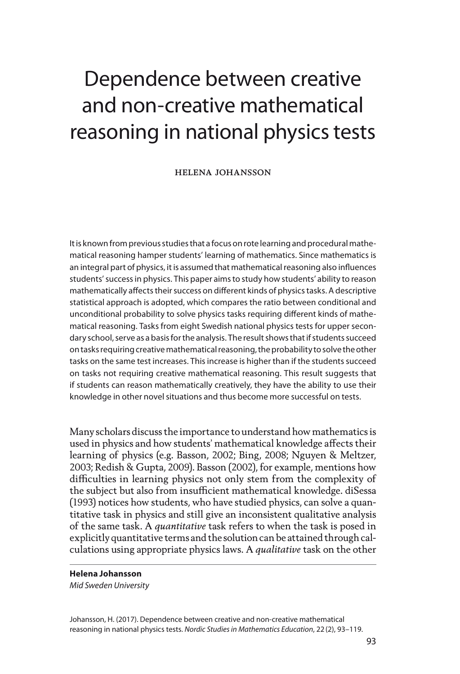# Dependence between creative and non-creative mathematical reasoning in national physics tests

helena johansson

It is known from previous studies that a focus on rote learning and procedural mathematical reasoning hamper students' learning of mathematics. Since mathematics is an integral part of physics, it is assumed that mathematical reasoning also influences students' success in physics. This paper aims to study how students' ability to reason mathematically affects their success on different kinds of physics tasks. A descriptive statistical approach is adopted, which compares the ratio between conditional and unconditional probability to solve physics tasks requiring different kinds of mathematical reasoning. Tasks from eight Swedish national physics tests for upper secondary school, serve as a basis for the analysis. The result shows that if students succeed on tasks requiring creative mathematical reasoning, the probability to solve the other tasks on the same test increases. This increase is higher than if the students succeed on tasks not requiring creative mathematical reasoning. This result suggests that if students can reason mathematically creatively, they have the ability to use their knowledge in other novel situations and thus become more successful on tests.

Many scholars discuss the importance to understand how mathematics is used in physics and how students' mathematical knowledge affects their learning of physics (e.g. Basson, 2002; Bing, 2008; Nguyen & Meltzer, 2003; Redish & Gupta, 2009). Basson (2002), for example, mentions how difficulties in learning physics not only stem from the complexity of the subject but also from insufficient mathematical knowledge. diSessa (1993) notices how students, who have studied physics, can solve a quantitative task in physics and still give an inconsistent qualitative analysis of the same task. A *quantitative* task refers to when the task is posed in explicitly quantitative terms and the solution can be attained through calculations using appropriate physics laws. A *qualitative* task on the other

#### **Helena Johansson**

*Mid Sweden University*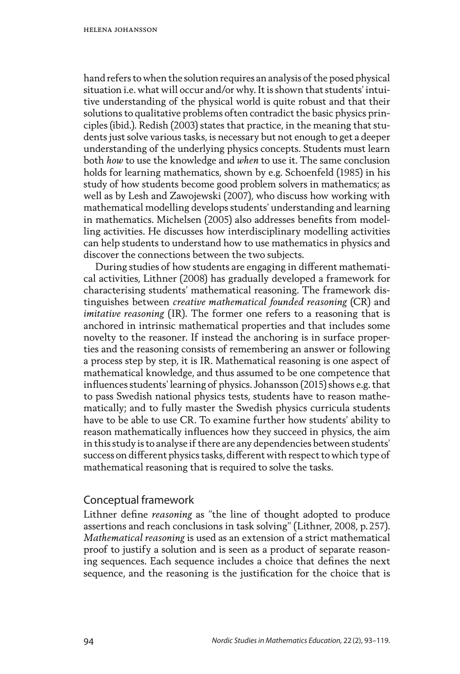hand refers to when the solution requires an analysis of the posed physical situation i.e. what will occur and/or why. It is shown that students' intuitive understanding of the physical world is quite robust and that their solutions to qualitative problems often contradict the basic physics principles (ibid.). Redish (2003) states that practice, in the meaning that students just solve various tasks, is necessary but not enough to get a deeper understanding of the underlying physics concepts. Students must learn both *how* to use the knowledge and *when* to use it. The same conclusion holds for learning mathematics, shown by e.g. Schoenfeld (1985) in his study of how students become good problem solvers in mathematics; as well as by Lesh and Zawojewski (2007), who discuss how working with mathematical modelling develops students' understanding and learning in mathematics. Michelsen (2005) also addresses benefits from modelling activities. He discusses how interdisciplinary modelling activities can help students to understand how to use mathematics in physics and discover the connections between the two subjects.

During studies of how students are engaging in different mathematical activities, Lithner (2008) has gradually developed a framework for characterising students' mathematical reasoning. The framework distinguishes between *creative mathematical founded reasoning* (CR) and *imitative reasoning* (IR). The former one refers to a reasoning that is anchored in intrinsic mathematical properties and that includes some novelty to the reasoner. If instead the anchoring is in surface properties and the reasoning consists of remembering an answer or following a process step by step, it is IR. Mathematical reasoning is one aspect of mathematical knowledge, and thus assumed to be one competence that influences students' learning of physics. Johansson (2015) shows e.g. that to pass Swedish national physics tests, students have to reason mathematically; and to fully master the Swedish physics curricula students have to be able to use CR. To examine further how students' ability to reason mathematically influences how they succeed in physics, the aim in this study is to analyse if there are any dependencies between students' success on different physics tasks, different with respect to which type of mathematical reasoning that is required to solve the tasks.

#### Conceptual framework

Lithner define *reasoning* as "the line of thought adopted to produce assertions and reach conclusions in task solving" (Lithner, 2008, p.257). *Mathematical reasoning* is used as an extension of a strict mathematical proof to justify a solution and is seen as a product of separate reasoning sequences. Each sequence includes a choice that defines the next sequence, and the reasoning is the justification for the choice that is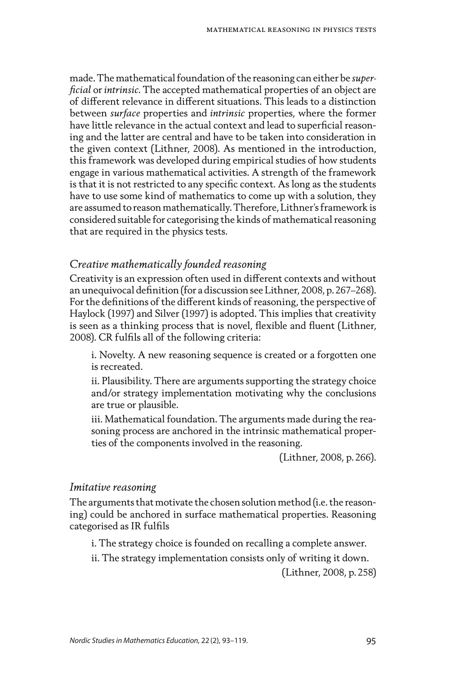made. The mathematical foundation of the reasoning can either be *superficial* or *intrinsic*. The accepted mathematical properties of an object are of different relevance in different situations. This leads to a distinction between *surface* properties and *intrinsic* properties, where the former have little relevance in the actual context and lead to superficial reasoning and the latter are central and have to be taken into consideration in the given context (Lithner, 2008). As mentioned in the introduction, this framework was developed during empirical studies of how students engage in various mathematical activities. A strength of the framework is that it is not restricted to any specific context. As long as the students have to use some kind of mathematics to come up with a solution, they are assumed to reason mathematically. Therefore, Lithner's framework is considered suitable for categorising the kinds of mathematical reasoning that are required in the physics tests.

#### *Creative mathematically founded reasoning*

Creativity is an expression often used in different contexts and without an unequivocal definition (for a discussion see Lithner, 2008, p.267–268). For the definitions of the different kinds of reasoning, the perspective of Haylock (1997) and Silver (1997) is adopted. This implies that creativity is seen as a thinking process that is novel, flexible and fluent (Lithner, 2008). CR fulfils all of the following criteria:

i. Novelty. A new reasoning sequence is created or a forgotten one is recreated.

ii. Plausibility. There are arguments supporting the strategy choice and/or strategy implementation motivating why the conclusions are true or plausible.

iii. Mathematical foundation. The arguments made during the reasoning process are anchored in the intrinsic mathematical properties of the components involved in the reasoning.

(Lithner, 2008, p.266).

#### *Imitative reasoning*

The arguments that motivate the chosen solution method (i.e. the reasoning) could be anchored in surface mathematical properties. Reasoning categorised as IR fulfils

i. The strategy choice is founded on recalling a complete answer.

ii. The strategy implementation consists only of writing it down.

(Lithner, 2008, p.258)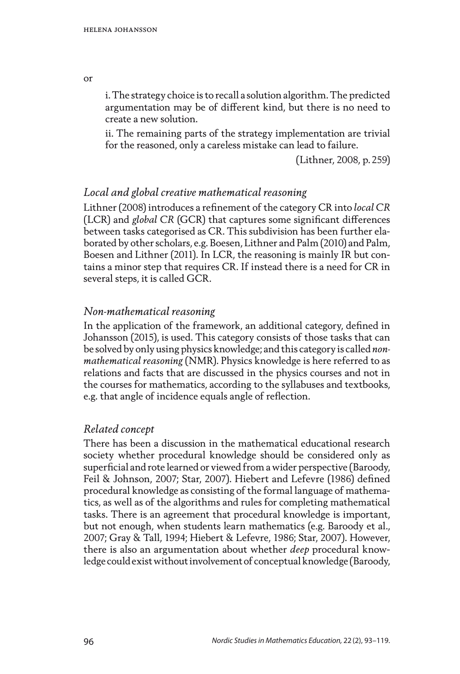i. The strategy choice is to recall a solution algorithm. The predicted argumentation may be of different kind, but there is no need to create a new solution.

ii. The remaining parts of the strategy implementation are trivial for the reasoned, only a careless mistake can lead to failure.

(Lithner, 2008, p.259)

## *Local and global creative mathematical reasoning*

Lithner (2008) introduces a refinement of the category CR into *local CR* (LCR) and *global CR* (GCR) that captures some significant differences between tasks categorised as CR. This subdivision has been further elaborated by other scholars, e.g. Boesen, Lithner and Palm (2010) and Palm, Boesen and Lithner (2011). In LCR, the reasoning is mainly IR but contains a minor step that requires CR. If instead there is a need for CR in several steps, it is called GCR.

### *Non-mathematical reasoning*

In the application of the framework, an additional category, defined in Johansson (2015), is used. This category consists of those tasks that can be solved by only using physics knowledge; and this category is called *nonmathematical reasoning* (NMR). Physics knowledge is here referred to as relations and facts that are discussed in the physics courses and not in the courses for mathematics, according to the syllabuses and textbooks, e.g. that angle of incidence equals angle of reflection.

#### *Related concept*

There has been a discussion in the mathematical educational research society whether procedural knowledge should be considered only as superficial and rote learned or viewed from a wider perspective (Baroody, Feil & Johnson, 2007; Star, 2007). Hiebert and Lefevre (1986) defined procedural knowledge as consisting of the formal language of mathematics, as well as of the algorithms and rules for completing mathematical tasks. There is an agreement that procedural knowledge is important, but not enough, when students learn mathematics (e.g. Baroody et al., 2007; Gray & Tall, 1994; Hiebert & Lefevre, 1986; Star, 2007). However, there is also an argumentation about whether *deep* procedural knowledge could exist without involvement of conceptual knowledge (Baroody,

or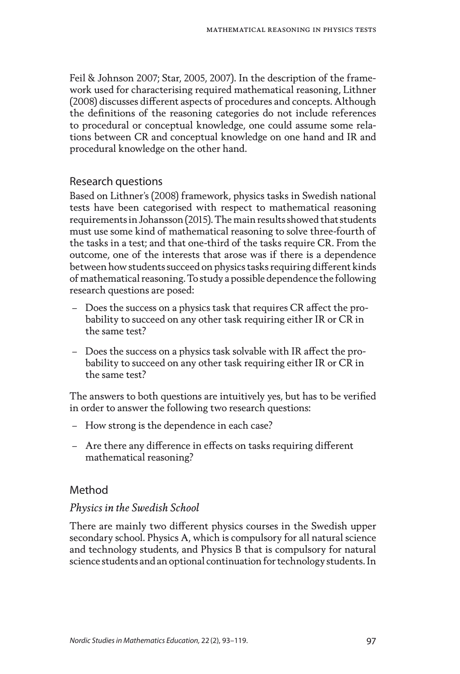Feil & Johnson 2007; Star, 2005, 2007). In the description of the framework used for characterising required mathematical reasoning, Lithner (2008) discusses different aspects of procedures and concepts. Although the definitions of the reasoning categories do not include references to procedural or conceptual knowledge, one could assume some relations between CR and conceptual knowledge on one hand and IR and procedural knowledge on the other hand.

# Research questions

Based on Lithner's (2008) framework, physics tasks in Swedish national tests have been categorised with respect to mathematical reasoning requirements in Johansson (2015). The main results showed that students must use some kind of mathematical reasoning to solve three-fourth of the tasks in a test; and that one-third of the tasks require CR. From the outcome, one of the interests that arose was if there is a dependence between how students succeed on physics tasks requiring different kinds of mathematical reasoning. To study a possible dependence the following research questions are posed:

- Does the success on a physics task that requires CR affect the probability to succeed on any other task requiring either IR or CR in the same test?
- Does the success on a physics task solvable with IR affect the probability to succeed on any other task requiring either IR or CR in the same test?

The answers to both questions are intuitively yes, but has to be verified in order to answer the following two research questions:

- How strong is the dependence in each case?
- Are there any difference in effects on tasks requiring different mathematical reasoning?

# Method

# *Physics in the Swedish School*

There are mainly two different physics courses in the Swedish upper secondary school. Physics A, which is compulsory for all natural science and technology students, and Physics B that is compulsory for natural science students and an optional continuation for technology students. In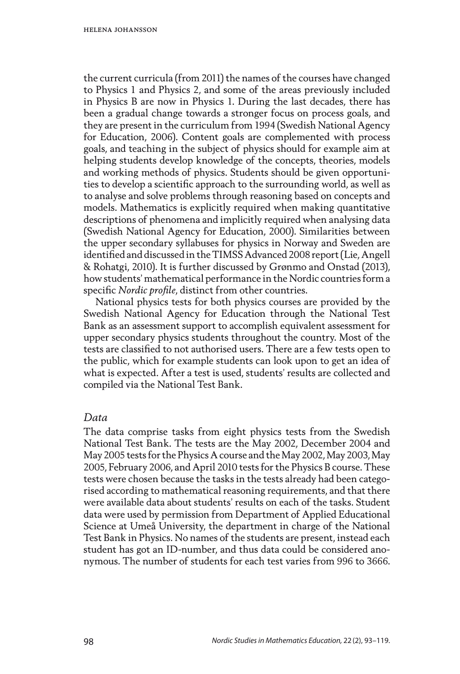the current curricula (from 2011) the names of the courses have changed to Physics 1 and Physics 2, and some of the areas previously included in Physics B are now in Physics 1. During the last decades, there has been a gradual change towards a stronger focus on process goals, and they are present in the curriculum from 1994 (Swedish National Agency for Education, 2006). Content goals are complemented with process goals, and teaching in the subject of physics should for example aim at helping students develop knowledge of the concepts, theories, models and working methods of physics. Students should be given opportunities to develop a scientific approach to the surrounding world, as well as to analyse and solve problems through reasoning based on concepts and models. Mathematics is explicitly required when making quantitative descriptions of phenomena and implicitly required when analysing data (Swedish National Agency for Education, 2000). Similarities between the upper secondary syllabuses for physics in Norway and Sweden are identified and discussed in the TIMSS Advanced 2008 report (Lie, Angell & Rohatgi, 2010). It is further discussed by Grønmo and Onstad (2013), how students' mathematical performance in the Nordic countries form a specific *Nordic profile*, distinct from other countries.

National physics tests for both physics courses are provided by the Swedish National Agency for Education through the National Test Bank as an assessment support to accomplish equivalent assessment for upper secondary physics students throughout the country. Most of the tests are classified to not authorised users. There are a few tests open to the public, which for example students can look upon to get an idea of what is expected. After a test is used, students' results are collected and compiled via the National Test Bank.

#### *Data*

The data comprise tasks from eight physics tests from the Swedish National Test Bank. The tests are the May 2002, December 2004 and May 2005 tests for the Physics A course and the May 2002, May 2003, May 2005, February 2006, and April 2010 tests for the Physics B course. These tests were chosen because the tasks in the tests already had been categorised according to mathematical reasoning requirements, and that there were available data about students' results on each of the tasks. Student data were used by permission from Department of Applied Educational Science at Umeå University, the department in charge of the National Test Bank in Physics. No names of the students are present, instead each student has got an ID-number, and thus data could be considered anonymous. The number of students for each test varies from 996 to 3666.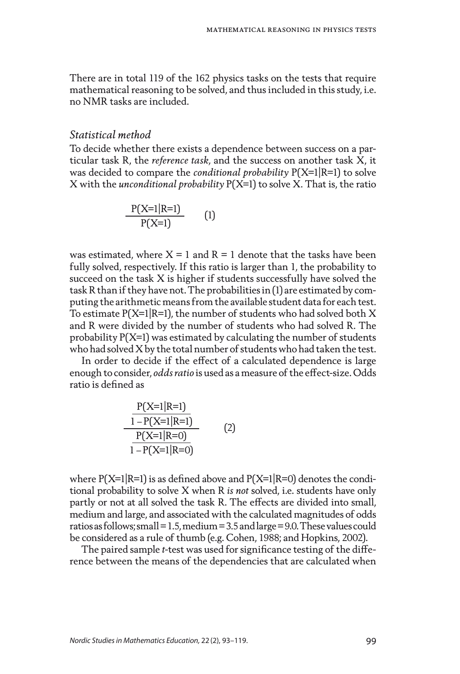There are in total 119 of the 162 physics tasks on the tests that require mathematical reasoning to be solved, and thus included in this study, i.e. no NMR tasks are included.

#### *Statistical method*

To decide whether there exists a dependence between success on a particular task R, the *reference task*, and the success on another task X, it was decided to compare the *conditional probability* P(X=1|R=1) to solve X with the *unconditional probability* P(X=1) to solve X. That is, the ratio

$$
\frac{P(X=1|R=1)}{P(X=1)}
$$
 (1)

was estimated, where  $X = 1$  and  $R = 1$  denote that the tasks have been fully solved, respectively. If this ratio is larger than 1, the probability to succeed on the task X is higher if students successfully have solved the task R than if they have not. The probabilities in (1) are estimated by computing the arithmetic means from the available student data for each test. To estimate  $P(X=1|R=1)$ , the number of students who had solved both X and R were divided by the number of students who had solved R. The probability P(X=1) was estimated by calculating the number of students who had solved X by the total number of students who had taken the test.

In order to decide if the effect of a calculated dependence is large enough to consider, *odds ratio* is used as a measure of the effect-size. Odds ratio is defined as

$$
\frac{P(X=1|R=1)}{1-P(X=1|R=1)}
$$
  
\n
$$
\frac{P(X=1|R=0)}{1-P(X=1|R=0)}
$$
 (2)

where  $P(X=1|R=1)$  is as defined above and  $P(X=1|R=0)$  denotes the conditional probability to solve X when R *is not* solved, i.e. students have only partly or not at all solved the task R. The effects are divided into small, medium and large, and associated with the calculated magnitudes of odds ratios as follows; small=1.5, medium=3.5 and large=9.0. These values could be considered as a rule of thumb (e.g. Cohen, 1988; and Hopkins, 2002).

The paired sample *t*-test was used for significance testing of the difference between the means of the dependencies that are calculated when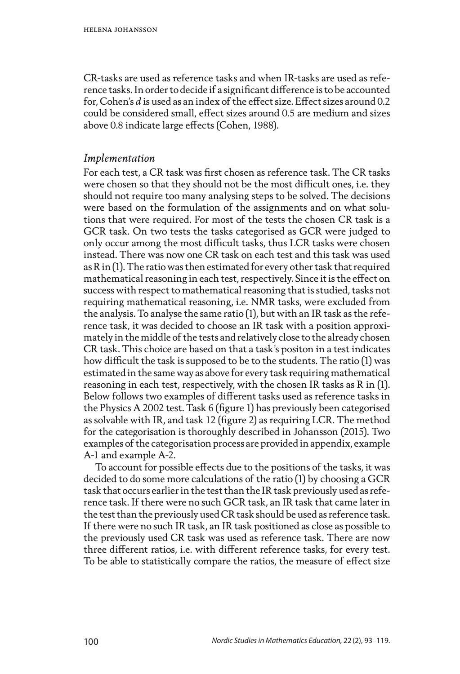CR-tasks are used as reference tasks and when IR-tasks are used as reference tasks. In order to decide if a significant difference is to be accounted for, Cohen's *d* is used as an index of the effect size. Effect sizes around 0.2 could be considered small, effect sizes around 0.5 are medium and sizes above 0.8 indicate large effects (Cohen, 1988).

### *Implementation*

For each test, a CR task was first chosen as reference task. The CR tasks were chosen so that they should not be the most difficult ones, i.e. they should not require too many analysing steps to be solved. The decisions were based on the formulation of the assignments and on what solutions that were required. For most of the tests the chosen CR task is a GCR task. On two tests the tasks categorised as GCR were judged to only occur among the most difficult tasks, thus LCR tasks were chosen instead. There was now one CR task on each test and this task was used as R in (1). The ratio was then estimated for every other task that required mathematical reasoning in each test, respectively. Since it is the effect on success with respect to mathematical reasoning that is studied, tasks not requiring mathematical reasoning, i.e. NMR tasks, were excluded from the analysis. To analyse the same ratio (1), but with an IR task as the reference task, it was decided to choose an IR task with a position approximately in the middle of the tests and relatively close to the already chosen CR task. This choice are based on that a task's positon in a test indicates how difficult the task is supposed to be to the students. The ratio (1) was estimated in the same way as above for every task requiring mathematical reasoning in each test, respectively, with the chosen IR tasks as R in (1). Below follows two examples of different tasks used as reference tasks in the Physics A 2002 test. Task 6 (figure 1) has previously been categorised as solvable with IR, and task 12 (figure 2) as requiring LCR. The method for the categorisation is thoroughly described in Johansson (2015). Two examples of the categorisation process are provided in appendix, example A-1 and example A-2.

To account for possible effects due to the positions of the tasks, it was decided to do some more calculations of the ratio (1) by choosing a GCR task that occurs earlier in the test than the IR task previously used as reference task. If there were no such GCR task, an IR task that came later in the test than the previously used CR task should be used as reference task. If there were no such IR task, an IR task positioned as close as possible to the previously used CR task was used as reference task. There are now three different ratios, i.e. with different reference tasks, for every test. To be able to statistically compare the ratios, the measure of effect size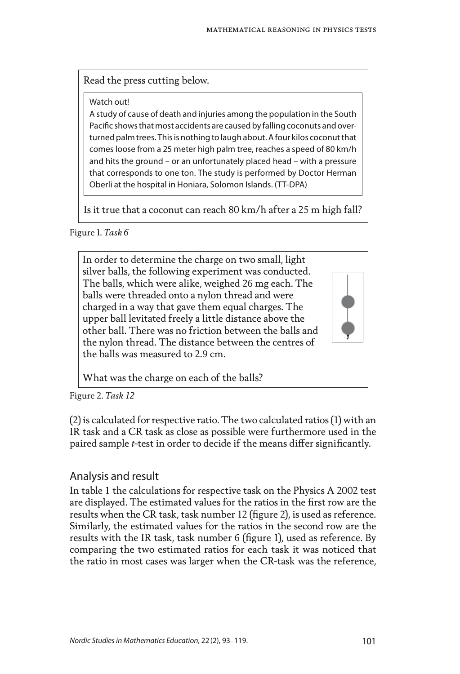Read the press cutting below.

Watch out!

A study of cause of death and injuries among the population in the South Pacific shows that most accidents are caused by falling coconuts and overturned palm trees. This is nothing to laugh about. A four kilos coconut that comes loose from a 25 meter high palm tree, reaches a speed of 80 km/h and hits the ground – or an unfortunately placed head – with a pressure that corresponds to one ton. The study is performed by Doctor Herman Oberli at the hospital in Honiara, Solomon Islands. (TT-DPA)

Is it true that a coconut can reach 80 km/h after a 25 m high fall?

Figure 1. *Task 6*

In order to determine the charge on two small, light silver balls, the following experiment was conducted. The balls, which were alike, weighed 26 mg each. The balls were threaded onto a nylon thread and were charged in a way that gave them equal charges. The upper ball levitated freely a little distance above the other ball. There was no friction between the balls and the nylon thread. The distance between the centres of the balls was measured to 2.9 cm.

What was the charge on each of the balls?

Figure 2. *Task 12*

(2) is calculated for respective ratio. The two calculated ratios (1) with an IR task and a CR task as close as possible were furthermore used in the paired sample *t*-test in order to decide if the means differ significantly.

## Analysis and result

In table 1 the calculations for respective task on the Physics A 2002 test are displayed. The estimated values for the ratios in the first row are the results when the CR task, task number 12 (figure 2), is used as reference. Similarly, the estimated values for the ratios in the second row are the results with the IR task, task number 6 (figure 1), used as reference. By comparing the two estimated ratios for each task it was noticed that the ratio in most cases was larger when the CR-task was the reference,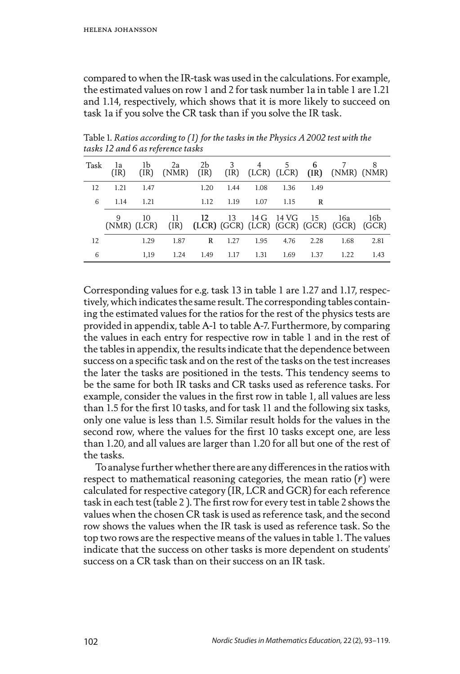compared to when the IR-task was used in the calculations. For example, the estimated values on row 1 and 2 for task number 1a in table 1 are 1.21 and 1.14, respectively, which shows that it is more likely to succeed on task 1a if you solve the CR task than if you solve the IR task.

| Task | la<br>(IR)         | 1b<br>(IR) | 2a<br>(NMR) | 2b<br>(IR) | 3    | 4    | 5.         | 6    | $[IR]$ $[LCR]$ $[LCR]$ $[IR]$ $[NMR]$ $[NMR]$         | 8    |
|------|--------------------|------------|-------------|------------|------|------|------------|------|-------------------------------------------------------|------|
| 12   | 1.21               | 1.47       |             | 1.20       | 1.44 | 1.08 | 1.36       | 1.49 |                                                       |      |
| 6    | 1.14               | 1.21       |             | 1.12       | 1.19 | 1.07 | 1.15       | R    |                                                       |      |
|      | 9<br>$(NMR)$ (LCR) | 10         | 11          | 12         | 13   |      | 14 G 14 VG | - 15 | 16a<br>(IR) (LCR) (GCR) (LCR) (GCR) (GCR) (GCR) (GCR) | 16b  |
| 12   |                    | 1.29       | 1.87        | R          | 1.27 | 1.95 | 4.76       | 2.28 | 1.68                                                  | 2.81 |
| 6    |                    | 1.19       | 1.24        | 1.49       | 1.17 | 1.31 | 1.69       | 1.37 | 1.22                                                  | 1.43 |

Table 1. *Ratios according to (1) for the tasks in the Physics A 2002 test with the tasks 12 and 6 as reference tasks*

Corresponding values for e.g. task 13 in table 1 are 1.27 and 1.17, respectively, which indicates the same result. The corresponding tables containing the estimated values for the ratios for the rest of the physics tests are provided in appendix, table A-1 to table A-7. Furthermore, by comparing the values in each entry for respective row in table 1 and in the rest of the tables in appendix, the results indicate that the dependence between success on a specific task and on the rest of the tasks on the test increases the later the tasks are positioned in the tests. This tendency seems to be the same for both IR tasks and CR tasks used as reference tasks. For example, consider the values in the first row in table 1, all values are less than 1.5 for the first 10 tasks, and for task 11 and the following six tasks, only one value is less than 1.5. Similar result holds for the values in the second row, where the values for the first 10 tasks except one, are less than 1.20, and all values are larger than 1.20 for all but one of the rest of the tasks.

To analyse further whether there are any differences in the ratios with respect to mathematical reasoning categories, the mean ratio  $(\bar{r})$  were calculated for respective category (IR, LCR and GCR) for each reference task in each test (table 2 ). The first row for every test in table 2 shows the values when the chosen CR task is used as reference task, and the second row shows the values when the IR task is used as reference task. So the top two rows are the respective means of the values in table 1. The values indicate that the success on other tasks is more dependent on students' success on a CR task than on their success on an IR task.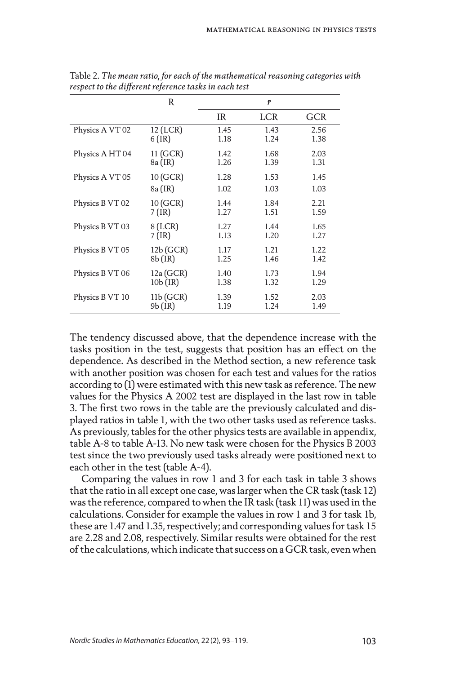|                 | R          |      | $\bar{r}$  |            |
|-----------------|------------|------|------------|------------|
|                 |            | IR   | <b>LCR</b> | <b>GCR</b> |
| Physics A VT 02 | 12 (LCR)   | 1.45 | 1.43       | 2.56       |
|                 | $6$ (IR)   | 1.18 | 1.24       | 1.38       |
| Physics A HT 04 | 11 (GCR)   | 1.42 | 1.68       | 2.03       |
|                 | 8a (IR)    | 1.26 | 1.39       | 1.31       |
| Physics A VT 05 | 10 (GCR)   | 1.28 | 1.53       | 1.45       |
|                 | 8a (IR)    | 1.02 | 1.03       | 1.03       |
| Physics B VT 02 | 10 (GCR)   | 1.44 | 1.84       | 2.21       |
|                 | $7$ (IR)   | 1.27 | 1.51       | 1.59       |
| Physics B VT 03 | $8$ (LCR)  | 1.27 | 1.44       | 1.65       |
|                 | $7$ (IR)   | 1.13 | 1.20       | 1.27       |
| Physics B VT 05 | 12b (GCR)  | 1.17 | 1.21       | 1.22       |
|                 | $8b$ (IR)  | 1.25 | 1.46       | 1.42       |
| Physics B VT 06 | 12a(GCR)   | 1.40 | 1.73       | 1.94       |
|                 | $10b$ (IR) | 1.38 | 1.32       | 1.29       |
| Physics B VT 10 | 11b(GCR)   | 1.39 | 1.52       | 2.03       |
|                 | $9b$ (IR)  | 1.19 | 1.24       | 1.49       |

Table 2. *The mean ratio, for each of the mathematical reasoning categories with respect to the different reference tasks in each test*

The tendency discussed above, that the dependence increase with the tasks position in the test, suggests that position has an effect on the dependence. As described in the Method section, a new reference task with another position was chosen for each test and values for the ratios according to (1) were estimated with this new task as reference. The new values for the Physics A 2002 test are displayed in the last row in table 3. The first two rows in the table are the previously calculated and displayed ratios in table 1, with the two other tasks used as reference tasks. As previously, tables for the other physics tests are available in appendix, table A-8 to table A-13. No new task were chosen for the Physics B 2003 test since the two previously used tasks already were positioned next to each other in the test (table A-4).

Comparing the values in row 1 and 3 for each task in table 3 shows that the ratio in all except one case, was larger when the CR task (task 12) was the reference, compared to when the IR task (task 11) was used in the calculations. Consider for example the values in row 1 and 3 for task 1b, these are 1.47 and 1.35, respectively; and corresponding values for task 15 are 2.28 and 2.08, respectively. Similar results were obtained for the rest of the calculations, which indicate that success on a GCR task, even when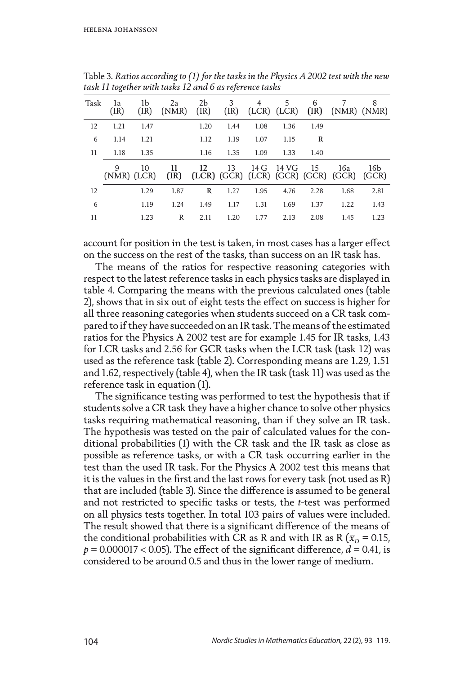| Task | la<br>(IR)       | lЬ<br>(IR) | 2a<br>(NMR) | 2b<br>(IR) | 3<br>(IR) | 4    | 5     | 6    | (LCR) (LCR) (IR) (NMR) (NMR)                                  | 8            |
|------|------------------|------------|-------------|------------|-----------|------|-------|------|---------------------------------------------------------------|--------------|
| 12   | 1.21             | 1.47       |             | 1.20       | 1.44      | 1.08 | 1.36  | 1.49 |                                                               |              |
| 6    | 1.14             | 1.21       |             | 1.12       | 1.19      | 1.07 | 1.15  | R    |                                                               |              |
| 11   | 1.18             | 1.35       |             | 1.16       | 1.35      | 1.09 | 1.33  | 1.40 |                                                               |              |
|      | 9<br>(NMR) (LCR) | 10         | 11          | 12         | 13        | 14 G | 14 VG | - 15 | 16a<br>$[IR]$ $[LCR]$ $[GCR]$ $[LCR]$ $[GCR]$ $[GCR]$ $[GCR]$ | 16b<br>(GCR) |
| 12   |                  | 1.29       | 1.87        | R          | 1.27      | 1.95 | 4.76  | 2.28 | 1.68                                                          | 2.81         |
| 6    |                  | 1.19       | 1.24        | 1.49       | 1.17      | 1.31 | 1.69  | 1.37 | 1.22                                                          | 1.43         |
| 11   |                  | 1.23       | R           | 2.11       | 1.20      | 1.77 | 2.13  | 2.08 | 1.45                                                          | 1.23         |

Table 3. *Ratios according to (1) for the tasks in the Physics A 2002 test with the new task 11 together with tasks 12 and 6 as reference tasks*

account for position in the test is taken, in most cases has a larger effect on the success on the rest of the tasks, than success on an IR task has.

The means of the ratios for respective reasoning categories with respect to the latest reference tasks in each physics tasks are displayed in table 4. Comparing the means with the previous calculated ones (table 2), shows that in six out of eight tests the effect on success is higher for all three reasoning categories when students succeed on a CR task compared to if they have succeeded on an IR task. The means of the estimated ratios for the Physics A 2002 test are for example 1.45 for IR tasks, 1.43 for LCR tasks and 2.56 for GCR tasks when the LCR task (task 12) was used as the reference task (table 2). Corresponding means are 1.29, 1.51 and 1.62, respectively (table 4), when the IR task (task 11) was used as the reference task in equation (1).

The significance testing was performed to test the hypothesis that if students solve a CR task they have a higher chance to solve other physics tasks requiring mathematical reasoning, than if they solve an IR task. The hypothesis was tested on the pair of calculated values for the conditional probabilities (1) with the CR task and the IR task as close as possible as reference tasks, or with a CR task occurring earlier in the test than the used IR task. For the Physics A 2002 test this means that it is the values in the first and the last rows for every task (not used as R) that are included (table 3). Since the difference is assumed to be general and not restricted to specific tasks or tests, the *t*-test was performed on all physics tests together. In total 103 pairs of values were included. The result showed that there is a significant difference of the means of the conditional probabilities with CR as R and with IR as R ( $\bar{x}_D = 0.15$ ,  $p = 0.000017 < 0.05$ . The effect of the significant difference,  $d = 0.41$ , is considered to be around 0.5 and thus in the lower range of medium.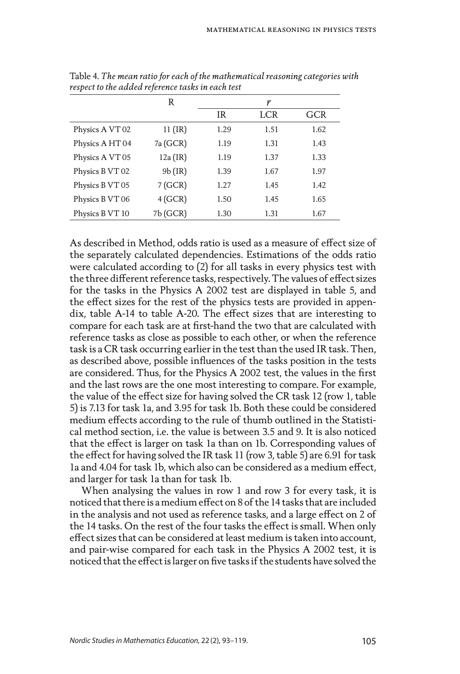|                 | R          |      | $\bar{r}$ |            |
|-----------------|------------|------|-----------|------------|
|                 |            | IR   | LCR       | <b>GCR</b> |
| Physics A VT 02 | $11$ (IR)  | 1.29 | 1.51      | 1.62       |
| Physics A HT 04 | 7a (GCR)   | 1.19 | 1.31      | 1.43       |
| Physics A VT 05 | $12a$ (IR) | 1.19 | 1.37      | 1.33       |
| Physics B VT 02 | $9b$ (IR)  | 1.39 | 1.67      | 1.97       |
| Physics B VT 05 | 7(GCR)     | 1.27 | 1.45      | 1.42       |
| Physics B VT 06 | 4(GCR)     | 1.50 | 1.45      | 1.65       |
| Physics B VT 10 | 7b (GCR)   | 1.30 | 1.31      | 1.67       |

Table 4. *The mean ratio for each of the mathematical reasoning categories with respect to the added reference tasks in each test*

As described in Method, odds ratio is used as a measure of effect size of the separately calculated dependencies. Estimations of the odds ratio were calculated according to (2) for all tasks in every physics test with the three different reference tasks, respectively. The values of effect sizes for the tasks in the Physics A 2002 test are displayed in table 5, and the effect sizes for the rest of the physics tests are provided in appendix, table A-14 to table A-20. The effect sizes that are interesting to compare for each task are at first-hand the two that are calculated with reference tasks as close as possible to each other, or when the reference task is a CR task occurring earlier in the test than the used IR task. Then, as described above, possible influences of the tasks position in the tests are considered. Thus, for the Physics A 2002 test, the values in the first and the last rows are the one most interesting to compare. For example, the value of the effect size for having solved the CR task 12 (row 1, table 5) is 7.13 for task 1a, and 3.95 for task 1b. Both these could be considered medium effects according to the rule of thumb outlined in the Statistical method section, i.e. the value is between 3.5 and 9. It is also noticed that the effect is larger on task 1a than on 1b. Corresponding values of the effect for having solved the IR task 11 (row 3, table 5) are 6.91 for task 1a and 4.04 for task 1b, which also can be considered as a medium effect, and larger for task 1a than for task 1b.

When analysing the values in row 1 and row 3 for every task, it is noticed that there is a medium effect on 8 of the 14 tasks that are included in the analysis and not used as reference tasks, and a large effect on 2 of the 14 tasks. On the rest of the four tasks the effect is small. When only effect sizes that can be considered at least medium is taken into account, and pair-wise compared for each task in the Physics A 2002 test, it is noticed that the effect is larger on five tasks if the students have solved the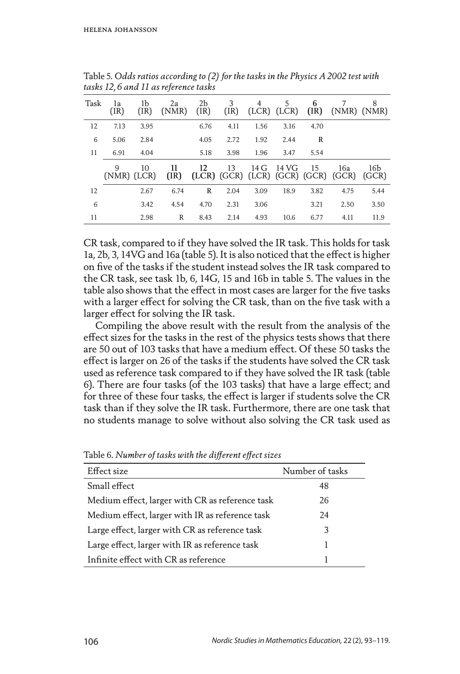| Task | la<br>(IR)       | lЬ<br>(IR) | 2a<br>(NMR) | 2b<br>(IR) | 3<br>(IR) | 4    | 5.<br>(LCR) (LCR) | 6<br>(IR) |                                            | 8<br>(NMR) (NMR) |
|------|------------------|------------|-------------|------------|-----------|------|-------------------|-----------|--------------------------------------------|------------------|
| 12   | 7.13             | 3.95       |             | 6.76       | 4.11      | 1.56 | 3.16              | 4.70      |                                            |                  |
| 6    | 5.06             | 2.84       |             | 4.05       | 2.72      | 1.92 | 2.44              | R         |                                            |                  |
| 11   | 6.91             | 4.04       |             | 5.18       | 3.98      | 1.96 | 3.47              | 5.54      |                                            |                  |
|      | 9<br>(NMR) (LCR) | 10         | 11<br>(IR)  | 12         | 13        | 14 G | 14 VG             | 15        | 16a<br>(LCR) (GCR) (LCR) (GCR) (GCR) (GCR) | 16b<br>(GCR)     |
| 12   |                  | 2.67       | 6.74        | R          | 2.04      | 3.09 | 18.9              | 3.82      | 4.75                                       | 5.44             |
| 6    |                  | 3.42       | 4.54        | 4.70       | 2.31      | 3.06 |                   | 3.21      | 2.50                                       | 3.50             |
| 11   |                  | 2.98       | R           | 8.43       | 2.14      | 4.93 | 10.6              | 6.77      | 4.11                                       | 11.9             |

Table 5. *Odds ratios according to (2) for the tasks in the Physics A 2002 test with tasks 12, 6 and 11 as reference tasks*

CR task, compared to if they have solved the IR task. This holds for task 1a, 2b, 3, 14VG and 16a (table 5). It is also noticed that the effect is higher on five of the tasks if the student instead solves the IR task compared to the CR task, see task 1b, 6, 14G, 15 and 16b in table 5. The values in the table also shows that the effect in most cases are larger for the five tasks with a larger effect for solving the CR task, than on the five task with a larger effect for solving the IR task.

Compiling the above result with the result from the analysis of the effect sizes for the tasks in the rest of the physics tests shows that there are 50 out of 103 tasks that have a medium effect. Of these 50 tasks the effect is larger on 26 of the tasks if the students have solved the CR task used as reference task compared to if they have solved the IR task (table 6). There are four tasks (of the 103 tasks) that have a large effect; and for three of these four tasks, the effect is larger if students solve the CR task than if they solve the IR task. Furthermore, there are one task that no students manage to solve without also solving the CR task used as

| Effect size                                     | Number of tasks |
|-------------------------------------------------|-----------------|
| Small effect                                    | 48              |
| Medium effect, larger with CR as reference task | 26              |
| Medium effect, larger with IR as reference task | 24              |
| Large effect, larger with CR as reference task  | 3               |
| Large effect, larger with IR as reference task  | 1               |
| Infinite effect with CR as reference            | 1               |

Table 6. *Number of tasks with the different effect sizes*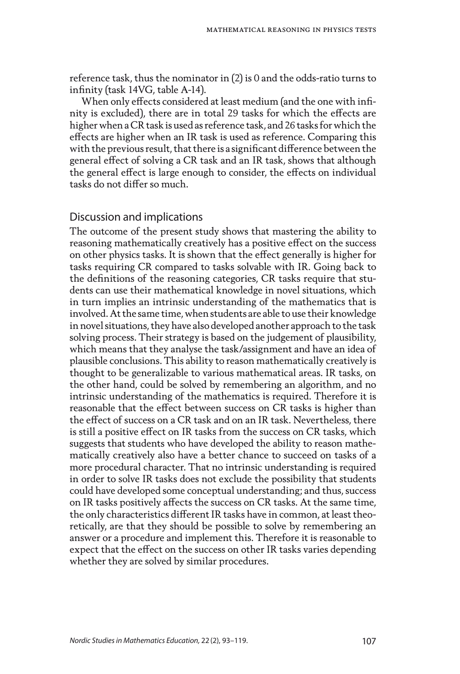reference task, thus the nominator in (2) is 0 and the odds-ratio turns to infinity (task 14VG, table A-14).

When only effects considered at least medium (and the one with infinity is excluded), there are in total 29 tasks for which the effects are higher when a CR task is used as reference task, and 26 tasks for which the effects are higher when an IR task is used as reference. Comparing this with the previous result, that there is a significant difference between the general effect of solving a CR task and an IR task, shows that although the general effect is large enough to consider, the effects on individual tasks do not differ so much.

## Discussion and implications

The outcome of the present study shows that mastering the ability to reasoning mathematically creatively has a positive effect on the success on other physics tasks. It is shown that the effect generally is higher for tasks requiring CR compared to tasks solvable with IR. Going back to the definitions of the reasoning categories, CR tasks require that students can use their mathematical knowledge in novel situations, which in turn implies an intrinsic understanding of the mathematics that is involved. At the same time, when students are able to use their knowledge in novel situations, they have also developed another approach to the task solving process. Their strategy is based on the judgement of plausibility, which means that they analyse the task/assignment and have an idea of plausible conclusions. This ability to reason mathematically creatively is thought to be generalizable to various mathematical areas. IR tasks, on the other hand, could be solved by remembering an algorithm, and no intrinsic understanding of the mathematics is required. Therefore it is reasonable that the effect between success on CR tasks is higher than the effect of success on a CR task and on an IR task. Nevertheless, there is still a positive effect on IR tasks from the success on CR tasks, which suggests that students who have developed the ability to reason mathematically creatively also have a better chance to succeed on tasks of a more procedural character. That no intrinsic understanding is required in order to solve IR tasks does not exclude the possibility that students could have developed some conceptual understanding; and thus, success on IR tasks positively affects the success on CR tasks. At the same time, the only characteristics different IR tasks have in common, at least theoretically, are that they should be possible to solve by remembering an answer or a procedure and implement this. Therefore it is reasonable to expect that the effect on the success on other IR tasks varies depending whether they are solved by similar procedures.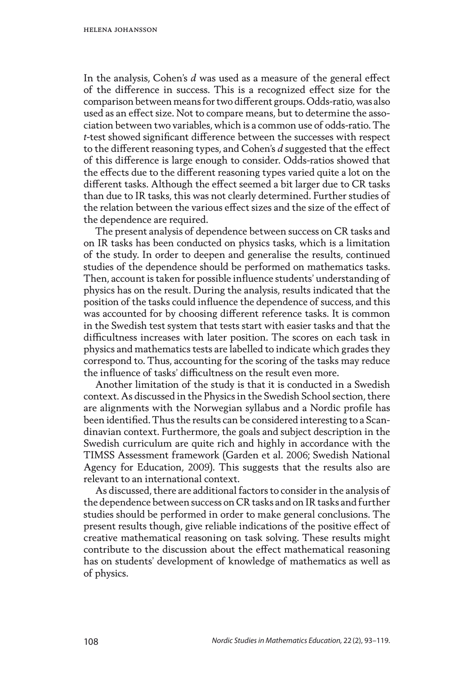In the analysis, Cohen's *d* was used as a measure of the general effect of the difference in success. This is a recognized effect size for the comparison between means for two different groups. Odds-ratio, was also used as an effect size. Not to compare means, but to determine the association between two variables, which is a common use of odds-ratio. The *t*-test showed significant difference between the successes with respect to the different reasoning types, and Cohen's *d* suggested that the effect of this difference is large enough to consider. Odds-ratios showed that the effects due to the different reasoning types varied quite a lot on the different tasks. Although the effect seemed a bit larger due to CR tasks than due to IR tasks, this was not clearly determined. Further studies of the relation between the various effect sizes and the size of the effect of the dependence are required.

The present analysis of dependence between success on CR tasks and on IR tasks has been conducted on physics tasks, which is a limitation of the study. In order to deepen and generalise the results, continued studies of the dependence should be performed on mathematics tasks. Then, account is taken for possible influence students' understanding of physics has on the result. During the analysis, results indicated that the position of the tasks could influence the dependence of success, and this was accounted for by choosing different reference tasks. It is common in the Swedish test system that tests start with easier tasks and that the difficultness increases with later position. The scores on each task in physics and mathematics tests are labelled to indicate which grades they correspond to. Thus, accounting for the scoring of the tasks may reduce the influence of tasks' difficultness on the result even more.

Another limitation of the study is that it is conducted in a Swedish context. As discussed in the Physics in the Swedish School section, there are alignments with the Norwegian syllabus and a Nordic profile has been identified. Thus the results can be considered interesting to a Scandinavian context. Furthermore, the goals and subject description in the Swedish curriculum are quite rich and highly in accordance with the TIMSS Assessment framework (Garden et al. 2006; Swedish National Agency for Education, 2009). This suggests that the results also are relevant to an international context.

As discussed, there are additional factors to consider in the analysis of the dependence between success on CR tasks and on IR tasks and further studies should be performed in order to make general conclusions. The present results though, give reliable indications of the positive effect of creative mathematical reasoning on task solving. These results might contribute to the discussion about the effect mathematical reasoning has on students' development of knowledge of mathematics as well as of physics.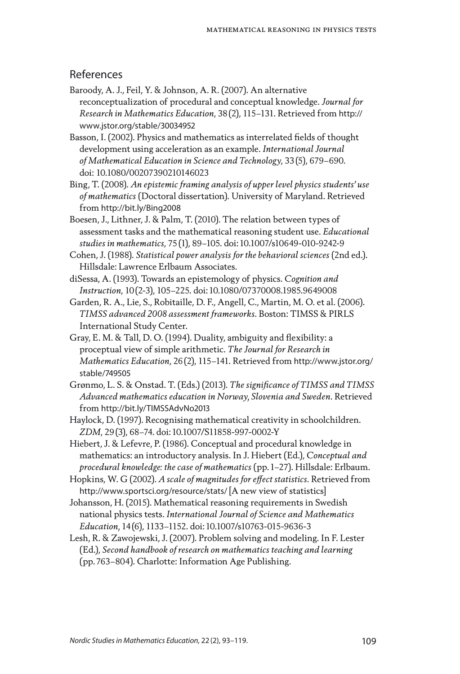#### References

- Baroody, A. J., Feil, Y. & Johnson, A. R. (2007). An alternative reconceptualization of procedural and conceptual knowledge. *Journal for Research in Mathematics Education*, 38(2), 115–131. Retrieved from http:// www.jstor.org/stable/30034952
- Basson, I. (2002). Physics and mathematics as interrelated fields of thought development using acceleration as an example. *International Journal of Mathematical Education in Science and Technology*, 33(5), 679–690. doi: 10.1080/00207390210146023
- Bing, T. (2008). *An epistemic framing analysis of upper level physics students' use of mathematics* (Doctoral dissertation). University of Maryland. Retrieved from http://bit.ly/Bing2008
- Boesen, J., Lithner, J. & Palm, T. (2010). The relation between types of assessment tasks and the mathematical reasoning student use. *Educational studies in mathematics*, 75(1), 89–105. doi:10.1007/s10649-010-9242-9
- Cohen, J. (1988). *Statistical power analysis for the behavioral sciences* (2nd ed.). Hillsdale: Lawrence Erlbaum Associates.
- diSessa, A. (1993). Towards an epistemology of physics. *Cognition and Instruction*, 10(2-3), 105–225. doi:10.1080/07370008.1985.9649008
- Garden, R. A., Lie, S., Robitaille, D. F., Angell, C., Martin, M. O. et al. (2006). *TIMSS advanced 2008 assessment frameworks*. Boston: TIMSS & PIRLS International Study Center.
- Gray, E. M. & Tall, D. O. (1994). Duality, ambiguity and flexibility: a proceptual view of simple arithmetic. *The Journal for Research in Mathematics Education*, 26(2), 115–141. Retrieved from http://www.jstor.org/ stable/749505
- Grønmo, L. S. & Onstad. T. (Eds.) (2013). *The significance of TIMSS and TIMSS Advanced mathematics education in Norway, Slovenia and Sweden*. Retrieved from http://bit.ly/TIMSSAdvNo2013
- Haylock, D. (1997). Recognising mathematical creativity in schoolchildren. *ZDM*, 29(3), 68–74. doi:10.1007/S11858-997-0002-Y
- Hiebert, J. & Lefevre, P. (1986). Conceptual and procedural knowledge in mathematics: an introductory analysis. In J. Hiebert (Ed.), *Conceptual and procedural knowledge: the case of mathematics* (pp.1–27). Hillsdale: Erlbaum.
- Hopkins, W. G (2002). *A scale of magnitudes for effect statistics*. Retrieved from http://www.sportsci.org/resource/stats/ [A new view of statistics]
- Johansson, H. (2015). Mathematical reasoning requirements in Swedish national physics tests. *International Journal of Science and Mathematics Education,* 14(6), 1133–1152. doi:10.1007/s10763-015-9636-3
- Lesh, R. & Zawojewski, J. (2007). Problem solving and modeling. In F. Lester (Ed.), *Second handbook of research on mathematics teaching and learning* (pp.763–804). Charlotte: Information Age Publishing.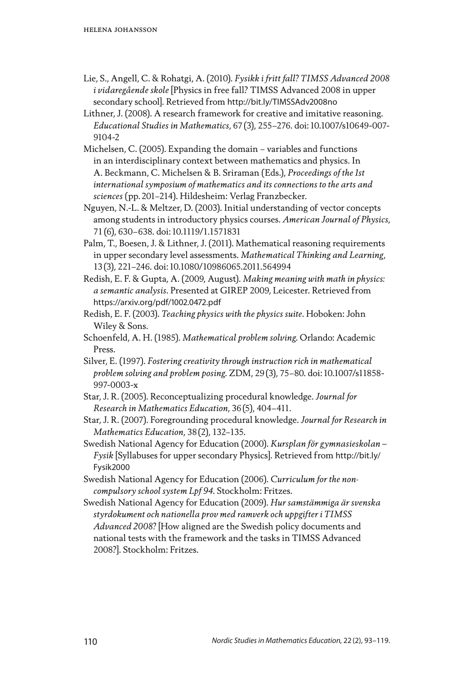- Lie, S., Angell, C. & Rohatgi, A. (2010). *Fysikk i fritt fall? TIMSS Advanced 2008 i vidaregående skole* [Physics in free fall? TIMSS Advanced 2008 in upper secondary school]. Retrieved from http://bit.ly/TIMSSAdv2008no
- Lithner, J. (2008). A research framework for creative and imitative reasoning. *Educational Studies in Mathematics*, 67(3), 255–276. doi:10.1007/s10649-007- 9104-2
- Michelsen, C. (2005). Expanding the domain variables and functions in an interdisciplinary context between mathematics and physics. In A. Beckmann, C. Michelsen & B. Sriraman (Eds.), *Proceedings of the 1st international symposium of mathematics and its connections to the arts and sciences* (pp.201–214). Hildesheim: Verlag Franzbecker.
- Nguyen, N.-L. & Meltzer, D. (2003). Initial understanding of vector concepts among students in introductory physics courses. *American Journal of Physics*, 71(6), 630–638. doi:10.1119/1.1571831
- Palm, T., Boesen, J. & Lithner, J. (2011). Mathematical reasoning requirements in upper secondary level assessments. *Mathematical Thinking and Learning*, 13(3), 221–246. doi:10.1080/10986065.2011.564994
- Redish, E. F. & Gupta, A. (2009, August). *Making meaning with math in physics: a semantic analysis*. Presented at GIREP 2009, Leicester. Retrieved from https://arxiv.org/pdf/1002.0472.pdf
- Redish, E. F. (2003). *Teaching physics with the physics suite*. Hoboken: John Wiley & Sons.
- Schoenfeld, A. H. (1985). *Mathematical problem solving*. Orlando: Academic Press.
- Silver, E. (1997). *Fostering creativity through instruction rich in mathematical problem solving and problem posing*. ZDM, 29(3), 75–80. doi:10.1007/s11858- 997-0003-x
- Star, J. R. (2005). Reconceptualizing procedural knowledge. *Journal for Research in Mathematics Education*, 36(5), 404–411.
- Star, J. R. (2007). Foregrounding procedural knowledge. *Journal for Research in Mathematics Education*, 38(2), 132–135.
- Swedish National Agency for Education (2000). *Kursplan för gymnasieskolan Fysik* [Syllabuses for upper secondary Physics]. Retrieved from http://bit.ly/ Fysik2000
- Swedish National Agency for Education (2006). *Curriculum for the noncompulsory school system Lpf 94*. Stockholm: Fritzes.
- Swedish National Agency for Education (2009). *Hur samstämmiga är svenska styrdokument och nationella prov med ramverk och uppgifter i TIMSS Advanced 2008?* [How aligned are the Swedish policy documents and national tests with the framework and the tasks in TIMSS Advanced 2008?]. Stockholm: Fritzes.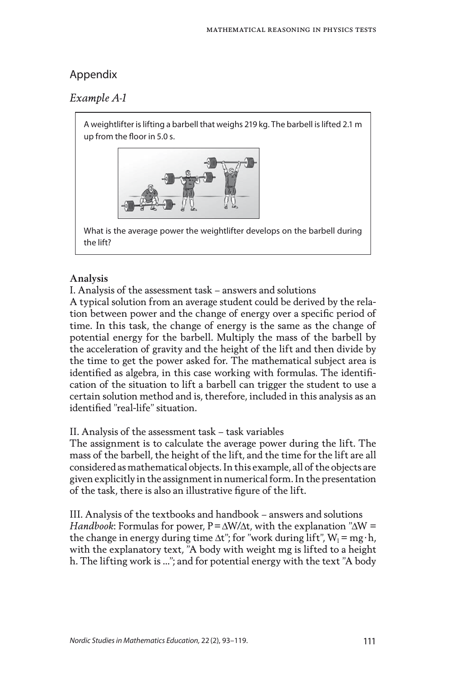# Appendix

# *Example A-1*

A weightlifter is lifting a barbell that weighs 219 kg. The barbell is lifted 2.1 m up from the floor in 5.0 s.



What is the average power the weightlifter develops on the barbell during the lift?

## **Analysis**

I. Analysis of the assessment task – answers and solutions

A typical solution from an average student could be derived by the relation between power and the change of energy over a specific period of time. In this task, the change of energy is the same as the change of potential energy for the barbell. Multiply the mass of the barbell by the acceleration of gravity and the height of the lift and then divide by the time to get the power asked for. The mathematical subject area is identified as algebra, in this case working with formulas. The identification of the situation to lift a barbell can trigger the student to use a certain solution method and is, therefore, included in this analysis as an identified "real-life" situation.

## II. Analysis of the assessment task – task variables

The assignment is to calculate the average power during the lift. The mass of the barbell, the height of the lift, and the time for the lift are all considered as mathematical objects. In this example, all of the objects are given explicitly in the assignment in numerical form. In the presentation of the task, there is also an illustrative figure of the lift.

III. Analysis of the textbooks and handbook – answers and solutions *Handbook*: Formulas for power, P=∆W/∆t, with the explanation "∆W = the change in energy during time  $\Delta t$ "; for "work during lift",  $W_1 = mg \cdot h$ , with the explanatory text, "A body with weight mg is lifted to a height h. The lifting work is …"; and for potential energy with the text "A body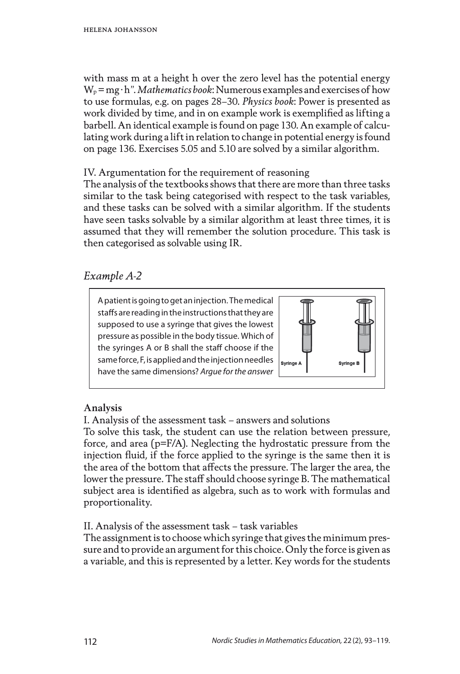with mass m at a height h over the zero level has the potential energy  $W_p = mg \cdot h$ ". *Mathematics book*: Numerous examples and exercises of how to use formulas, e.g. on pages 28–30. *Physics book*: Power is presented as work divided by time, and in on example work is exemplified as lifting a barbell. An identical example is found on page 130. An example of calculating work during a lift in relation to change in potential energy is found on page 136. Exercises 5.05 and 5.10 are solved by a similar algorithm.

IV. Argumentation for the requirement of reasoning

The analysis of the textbooks shows that there are more than three tasks similar to the task being categorised with respect to the task variables, and these tasks can be solved with a similar algorithm. If the students have seen tasks solvable by a similar algorithm at least three times, it is assumed that they will remember the solution procedure. This task is then categorised as solvable using IR.

# *Example A-2*

A patient is going to get an injection. The medical staffs are reading in the instructions that they are supposed to use a syringe that gives the lowest pressure as possible in the body tissue. Which of the syringes A or B shall the staff choose if the same force, F, is applied and the injection needles have the same dimensions? *Argue for the answer*



# **Analysis**

I. Analysis of the assessment task – answers and solutions

To solve this task, the student can use the relation between pressure, force, and area (p=F/A). Neglecting the hydrostatic pressure from the injection fluid, if the force applied to the syringe is the same then it is the area of the bottom that affects the pressure. The larger the area, the lower the pressure. The staff should choose syringe B. The mathematical subject area is identified as algebra, such as to work with formulas and proportionality.

II. Analysis of the assessment task – task variables

The assignment is to choose which syringe that gives the minimum pressure and to provide an argument for this choice. Only the force is given as a variable, and this is represented by a letter. Key words for the students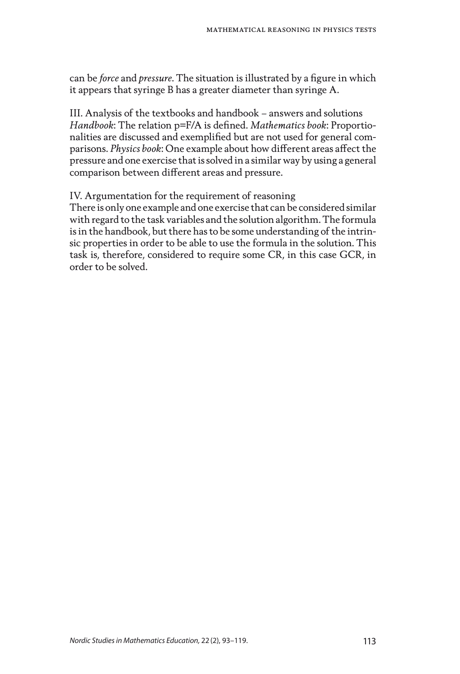can be *force* and *pressure*. The situation is illustrated by a figure in which it appears that syringe B has a greater diameter than syringe A.

III. Analysis of the textbooks and handbook – answers and solutions *Handbook*: The relation p=F/A is defined. *Mathematics book*: Proportionalities are discussed and exemplified but are not used for general comparisons. *Physics book*: One example about how different areas affect the pressure and one exercise that is solved in a similar way by using a general comparison between different areas and pressure.

IV. Argumentation for the requirement of reasoning

There is only one example and one exercise that can be considered similar with regard to the task variables and the solution algorithm. The formula is in the handbook, but there has to be some understanding of the intrinsic properties in order to be able to use the formula in the solution. This task is, therefore, considered to require some CR, in this case GCR, in order to be solved.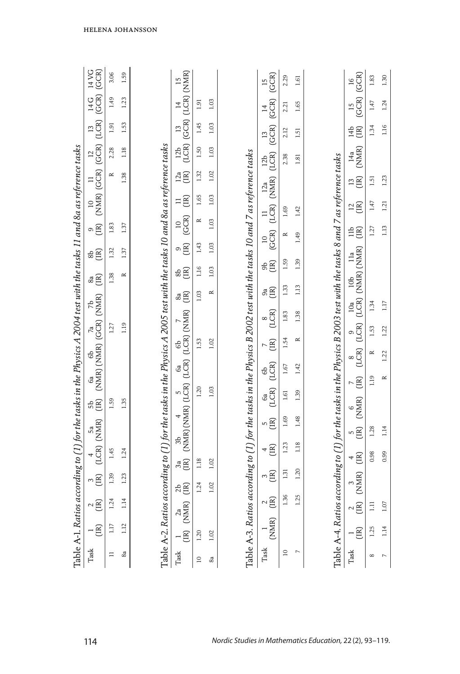|                                                                                                                         |                                             | 3.06      | 1.59      |                                                                                                                         |                                                                                                                                                                            |                |           |                                                                                                                        | (GCR)<br>$\overline{15}$                                       | 2.29      | 1.61      |                                                                                                                       | (GCR)<br>$\overline{16}$                                                 | 1.83              | 1.30           |
|-------------------------------------------------------------------------------------------------------------------------|---------------------------------------------|-----------|-----------|-------------------------------------------------------------------------------------------------------------------------|----------------------------------------------------------------------------------------------------------------------------------------------------------------------------|----------------|-----------|------------------------------------------------------------------------------------------------------------------------|----------------------------------------------------------------|-----------|-----------|-----------------------------------------------------------------------------------------------------------------------|--------------------------------------------------------------------------|-------------------|----------------|
|                                                                                                                         |                                             | 1.49      | 1.23      |                                                                                                                         | $\begin{array}{cc} 12b & 13 & 14 & 15 \\ (LCR) & (GCR) & (LCR) & (NMR) \end{array}$                                                                                        | 1.91           | 1.03      |                                                                                                                        |                                                                | 2.21      | 1.65      |                                                                                                                       | (GCR)<br>$\overline{15}$                                                 | 1.47              | 1.24           |
|                                                                                                                         |                                             | 1.91      | 1.53      |                                                                                                                         |                                                                                                                                                                            | 1.45           | 1.03      |                                                                                                                        |                                                                | 2.12      | 1.51      |                                                                                                                       | $\widetilde{E}$<br>14 <sub>b</sub>                                       | 1.34              | 1.16           |
|                                                                                                                         |                                             | 2.28      | 1.18      |                                                                                                                         |                                                                                                                                                                            | 1.50           | 1.03      |                                                                                                                        | $12b$ $13$ $14$<br>$(LCR)$ $(GCR)$ $(GCR)$                     | 2.38      | 1.81      |                                                                                                                       | (NMR)<br>14a                                                             |                   |                |
|                                                                                                                         |                                             | $\approx$ | 1.38      |                                                                                                                         | $\frac{1}{2}$ $\mathbb{E}$                                                                                                                                                 | 1.32           | 1.02      |                                                                                                                        |                                                                |           |           |                                                                                                                       | $\mathbb{E} \mathbb{E}$                                                  | 1.51              | 1.23           |
|                                                                                                                         |                                             |           |           |                                                                                                                         | $\equiv \widehat{\Xi}$                                                                                                                                                     | 1.65           | 1.03      | Table A-3. Ratios according to [1] for the tasks in the Physics B 2002 test with the tasks 10 and 7 as reference tasks | $\begin{array}{cc}\n 11 & 12a \\  (LCR) & (NMR)\n \end{array}$ | 1.69      | 1.42      |                                                                                                                       | $\stackrel{12}{\scriptstyle \times}$                                     | 1.47              | 1.21           |
|                                                                                                                         | $\circ \widetilde{g}$                       | 1.83      | 1.37      |                                                                                                                         | $\begin{array}{c} 10 \\ \text{(GCR)} \end{array}$                                                                                                                          | $\approx$      | 1.03      |                                                                                                                        |                                                                | $\approx$ |           |                                                                                                                       | $\stackrel{\text{1b}}{=}$                                                | 1.27              | 113            |
|                                                                                                                         | ඝි<br>සි                                    | 1.32      | 1.37      |                                                                                                                         | ິດ $\widetilde{\Xi}$                                                                                                                                                       | 1.43           | 1.03      |                                                                                                                        | (GCR)<br>$\overline{a}$                                        |           | 1.49      |                                                                                                                       |                                                                          |                   |                |
|                                                                                                                         | $\overset{\circ}{\mathscr{B}}\widetilde{E}$ | 1.38      | $\approx$ |                                                                                                                         | ඝි<br>ස                                                                                                                                                                    | 1.16           | 1.03      |                                                                                                                        | සි<br>පි                                                       | 1.59      | 1.39      |                                                                                                                       | 10 <sub>b</sub>                                                          |                   |                |
|                                                                                                                         |                                             |           |           |                                                                                                                         | $\overset{\circ}{\mathbb{E}}$                                                                                                                                              | 1.03           | $\approx$ |                                                                                                                        | 8g                                                             | 1.33      | 1.13      |                                                                                                                       | $\begin{array}{cc} 10a & 10b & 11a \\ (LCR) & (NMR) & (NMR) \end{array}$ | 1.34              | 117            |
|                                                                                                                         |                                             | 1.27      | 1.19      |                                                                                                                         |                                                                                                                                                                            |                |           |                                                                                                                        | (LCR)                                                          | 1.83      | 1.38      |                                                                                                                       |                                                                          |                   |                |
|                                                                                                                         |                                             |           |           |                                                                                                                         |                                                                                                                                                                            | 1.53           | 1.02      |                                                                                                                        | (IR)<br>$\overline{ }$                                         | 1.54      | $\approx$ |                                                                                                                       | (LCR) (LCR)                                                              | 1.53<br>$\approx$ | 1.22           |
|                                                                                                                         |                                             |           |           |                                                                                                                         |                                                                                                                                                                            |                |           |                                                                                                                        | $\begin{array}{c} 6b \\ (LCR) \end{array}$                     | 1.67      | 1.42      |                                                                                                                       |                                                                          |                   | 1.22           |
|                                                                                                                         | 5b 6a 6b 7a 7b (IR) (NMR) (GCR) (NMR)       |           |           |                                                                                                                         | $\begin{array}{cc} 3\mathrm{a} & 3\mathrm{b} \\ \text{(IR)} & \text{(NMR)} \text{(NMR)} \text{ (LCR)} \text{ (LCR)} \text{ (LCR)} \text{ (LCR)} \text{ (NNR)} \end{array}$ | 1.20           | 1.03      |                                                                                                                        | GL(R)                                                          | 1.61      | 1.39      |                                                                                                                       | (R)                                                                      | 1.19              | $\approx$      |
|                                                                                                                         |                                             | 1.59      | 1.35      |                                                                                                                         |                                                                                                                                                                            |                |           |                                                                                                                        | ng<br>E                                                        | 1.69      | 1.48      |                                                                                                                       | $\begin{array}{cc} 5 & 6 \\ (IR) & (NMR) \end{array}$                    |                   |                |
|                                                                                                                         | $4$ 5a<br>(LCR) (NMR)                       |           |           |                                                                                                                         |                                                                                                                                                                            |                |           |                                                                                                                        |                                                                | 1.23      | 1.18      |                                                                                                                       |                                                                          | 1.28              | 114            |
|                                                                                                                         |                                             | 1.45      | 1.24      |                                                                                                                         |                                                                                                                                                                            | 1.18           | 1.02      |                                                                                                                        | $\widetilde{E}$<br>4                                           |           |           |                                                                                                                       | $\begin{bmatrix} \mathbb{R} \end{bmatrix}$                               | 0.98              | 0.99           |
|                                                                                                                         | $\sum_{i=1}^{n}$                            | 1.39      | 1.23      |                                                                                                                         | AB                                                                                                                                                                         | 1.24           | 1.02      |                                                                                                                        | $\sqrt{2}$                                                     | 1.31      | 1.20      |                                                                                                                       | R) (NMR)                                                                 |                   |                |
|                                                                                                                         | $\sim \widetilde{R}$                        | 1.24      | 1.14      |                                                                                                                         | $\overline{\mathbb{R}}$<br>$\sum_{i=1}^{n}$                                                                                                                                |                |           |                                                                                                                        | $\sim \stackrel{\sim}{\text{E}}$                               | 1.36      | 1.25      |                                                                                                                       |                                                                          | Ξ                 | $\overline{O}$ |
|                                                                                                                         | - g                                         | 1.17      | 1.12      |                                                                                                                         | Ê                                                                                                                                                                          | 1.20           | 1.02      |                                                                                                                        | (NMR)                                                          |           |           |                                                                                                                       | $\Xi$                                                                    | 1.25              | 1.14           |
| Table A-1. Ratios according to (1) for the tasks in the Physics A 2004 test with the tasks 11 and 8a as reference tasks | Task                                        | Ξ         | 8a        | Table A-2. Ratios according to [1] for the tasks in the Physics A 2005 test with the tasks 10 and 8a as reference tasks | Task                                                                                                                                                                       | $\overline{a}$ | 8a        |                                                                                                                        | Task                                                           | $\approx$ | r         | Table A-4. Ratios according to (1) for the tasks in the Physics B 2003 test with the tasks 8 and 7 as reference tasks | Task                                                                     | $\infty$          |                |
|                                                                                                                         | 114                                         |           |           |                                                                                                                         |                                                                                                                                                                            |                |           |                                                                                                                        |                                                                |           |           | Nordic Studies in Mathematics Education, 22(2), 93-119.                                                               |                                                                          |                   |                |

helena johansson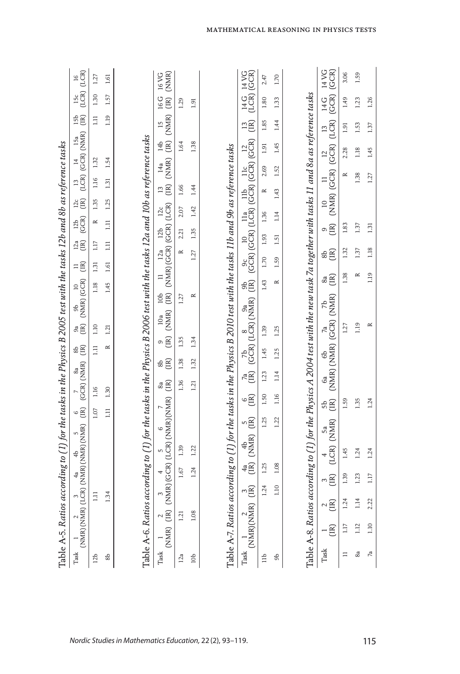|                 | Table A-5. Ratios according to (1) for the tasks in the Physics B 2005 test with the tasks 12b and 8b as reference tasks                                                                     |                  |        |                                                                            |      |       |      |      |           |                                                                                                                                     |          |                               |                |                |             |           |           |                                                                                                                                                                    |                 |                                                                                                                   |                |
|-----------------|----------------------------------------------------------------------------------------------------------------------------------------------------------------------------------------------|------------------|--------|----------------------------------------------------------------------------|------|-------|------|------|-----------|-------------------------------------------------------------------------------------------------------------------------------------|----------|-------------------------------|----------------|----------------|-------------|-----------|-----------|--------------------------------------------------------------------------------------------------------------------------------------------------------------------|-----------------|-------------------------------------------------------------------------------------------------------------------|----------------|
| $\rm{Task}$     | 1 2 3 4a 4b 5 6 $7$ 8a 8b (NMR) (LNMR) (LNMR) (LNMR) (LNMR) (LNMR) (LR) (GCR) (NMR) (LR)                                                                                                     |                  |        |                                                                            |      |       |      |      |           | $\begin{array}{ccc} 9a & 9b & 10 & 11 \\ \text{(IR)} & \text{(NMR)} & \text{(GCR)} & \text{(IR)} \end{array}$                       |          |                               |                | $\mathbb{R}^n$ |             |           |           | 12b 12c 13 14 15a<br>(GCR) (IR) (LCR) (GCR) (NMR)                                                                                                                  |                 | $\begin{array}{lll} \text{I5b} & \text{I5c} & \text{I6} \\ \text{(IR)} & \text{(LCR)} & \text{(LCR)} \end{array}$ |                |
| 12 <sub>b</sub> |                                                                                                                                                                                              | $\Xi$            |        |                                                                            |      | 1.07  | 1.16 |      | $\Xi$     | 1.10                                                                                                                                |          | 1.18                          | $1.17$<br>1.31 | $\approx$      | 1.35        | 1.16      | 1.32      |                                                                                                                                                                    | $\overline{11}$ | 1.30                                                                                                              | 1.27           |
| ಹೆ              |                                                                                                                                                                                              | 1.34             |        |                                                                            |      | $\Xi$ | 1.30 |      | $\approx$ | 1.21                                                                                                                                |          | 1.45                          | $\Xi$<br>1.61  | 1.11           | 1.25        | 1.31      | 1.54      |                                                                                                                                                                    | 1.19            | 1.57                                                                                                              | 1.61           |
|                 | Table A-6. Ratios according to (1) for the tasks in the Physics B 2006 test with the tasks 12a and 10b as reference tasks                                                                    |                  |        |                                                                            |      |       |      |      |           |                                                                                                                                     |          |                               |                |                |             |           |           |                                                                                                                                                                    |                 |                                                                                                                   |                |
| Task            | $\begin{array}{cccccc} \mbox{rk} & 1 & 2 & 3 & 4 & 5 & 6 \\ \mbox{(NMR)} & (\mbox{IR}) & (\mbox{NMR}) & (\mbox{GCR}) & (\mbox{LCR}) & (\mbox{NMR}) & (\mbox{NMR}) & (\mbox{IR}) \end{array}$ |                  |        |                                                                            |      |       |      |      |           | 8b 9 10a 10b 11 12a 12b 12c 13 14a 14b 15 16 16 VG<br>(IR) (IR) (NMR) (IR) (NMR) (GCR) (GCR) (LCR) (IR) (NMR) (IR) (NMR) (IR) (NMR) |          |                               |                |                |             |           |           |                                                                                                                                                                    |                 |                                                                                                                   |                |
| 12a             | 1.21                                                                                                                                                                                         |                  | $1.67$ | 1.39                                                                       |      |       | 1.36 | 1.38 | 1.35      |                                                                                                                                     | 1.27     |                               | $\approx$      | 2.21           | 2.07        | 1.66      |           | 1.64                                                                                                                                                               |                 | 1.29                                                                                                              |                |
| 10 <sub>b</sub> | 1.08                                                                                                                                                                                         |                  | 1.24   | 1.22                                                                       |      |       | 1.21 | 1.32 | 1.34      |                                                                                                                                     | $\simeq$ |                               | 1.27           | 1.35           | 1.42        | 1.44      |           | 1.38                                                                                                                                                               |                 | 1.91                                                                                                              |                |
|                 | Table A-7. Ratios according to (1) for the tasks in the Physics B 2010 test with the tasks 11b and 9b as reference tasks                                                                     |                  |        |                                                                            |      |       |      |      |           |                                                                                                                                     |          |                               |                |                |             |           |           |                                                                                                                                                                    |                 |                                                                                                                   |                |
|                 |                                                                                                                                                                                              |                  |        |                                                                            |      |       |      |      |           |                                                                                                                                     |          |                               |                |                |             |           |           |                                                                                                                                                                    |                 | 14 G 14 VG<br>(LCR) (GCR)                                                                                         |                |
| $\exists$       |                                                                                                                                                                                              |                  | 1.24   | 1.25                                                                       | 1.25 |       | 1.50 | 1.23 | 1.45      | 1.39                                                                                                                                |          | 1.43                          | 1.70 1.93 1.36 |                |             | $\approx$ | 2.69      | 1.91                                                                                                                                                               | 1.85            | 1.80                                                                                                              | 2.47           |
| கி              |                                                                                                                                                                                              |                  | 1.10   | 1.08                                                                       | 1.22 |       | 1.16 | 1.14 | 1.25      | 1.25                                                                                                                                |          | $\approx$                     | 1.59           | 1.51           | $1.14$ 1.43 |           | 1.52      | 1.45                                                                                                                                                               | 1.44            | 1.33                                                                                                              | 1.70           |
|                 | Table A-8. Ratios according to (1) for the Physics A 2004 test with the new task 7a together with tasks 11 and 8a as reference tasks                                                         |                  |        |                                                                            |      |       |      |      |           |                                                                                                                                     |          |                               |                |                |             |           |           |                                                                                                                                                                    |                 |                                                                                                                   |                |
| $\rm{Task}$     | $-\widetilde{\Xi}$                                                                                                                                                                           | $\frac{2}{(IR)}$ |        | 3 4 5a 5b 6a 6b 7a 7b (IR) (LCR) (NMR) (NMR) (NMR) (NMR) (NMR) (NMR) (NMR) |      |       |      |      |           |                                                                                                                                     |          | $\overset{\circ}{\mathbb{E}}$ | æĝ             |                |             |           |           | $\begin{array}{cccc} 9 & 10 & 11 & 12 & 13 & 14 \, \text{G} \\ \text{(IR)} & \text{(NMR)} & \text{(GCR)} & \text{(GCR)} & \text{(LCR)} & \text{(GCR)} \end{array}$ |                 |                                                                                                                   | 14 VG<br>(GCR) |
| $\equiv$        | 1.17                                                                                                                                                                                         | 1.24             | 1.39   | 1.45                                                                       |      | 1.59  |      |      |           | 1.27                                                                                                                                |          | 1.38                          | 1.32           | 1.83           |             |           | $\approx$ | 2.28                                                                                                                                                               | 1.91            | 1.49                                                                                                              | 3.06           |
| 8a              | 1.12                                                                                                                                                                                         | 1.14             | 1.23   | 1.24                                                                       |      | 1.35  |      |      |           | 1.19                                                                                                                                |          | $\simeq$                      | 1.37           | 1.37           |             | 1.38      |           | 1.18                                                                                                                                                               | 1.53            | 1.23                                                                                                              | 1.59           |
| $\sqrt{a}$      | $1.10$                                                                                                                                                                                       | 2.22             | 1.17   | 1.24                                                                       |      | 1.24  |      |      |           | ≃                                                                                                                                   |          | 1.19                          | 1.18           | 1.31           |             | 1.27      |           | 1.45                                                                                                                                                               | 1.37            | 1.26                                                                                                              |                |

mathematical reasoning in physics tests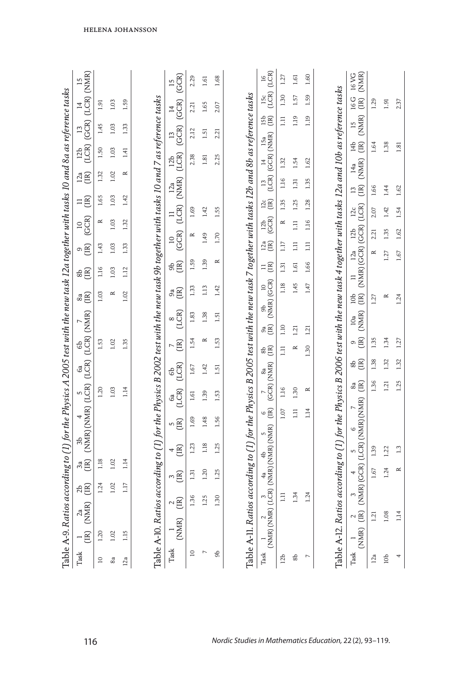|                              | Table A-9. Ratios according to (1) for the Physics A 2005 test with the new task 12a together with tasks 10 and 8a as reference tasks  |                      |                           |              |                                         |                |                                           |                                              |                 |                                                                                                         |                                                                        |              |                         |                                                 |                         |                                               |      |                                                                                                         |                                                                                     |                                                                                       |
|------------------------------|----------------------------------------------------------------------------------------------------------------------------------------|----------------------|---------------------------|--------------|-----------------------------------------|----------------|-------------------------------------------|----------------------------------------------|-----------------|---------------------------------------------------------------------------------------------------------|------------------------------------------------------------------------|--------------|-------------------------|-------------------------------------------------|-------------------------|-----------------------------------------------|------|---------------------------------------------------------------------------------------------------------|-------------------------------------------------------------------------------------|---------------------------------------------------------------------------------------|
| Task                         | -g                                                                                                                                     | $^{2a}_{\rm (NMR)}$  | AB                        | ិន<br>(B)    |                                         |                |                                           |                                              |                 | $\begin{array}{cccc} 3b & 4 & 5 & 6a & 6b & 7 \\ (NMR) (NMR) (LCR) (LCR) (LCR) (LCR) (NMR) \end{array}$ | $\overset{\circ}{\mathscr{B}}\widetilde{E}$                            | æ<br>E       | $\circ \widetilde{E}$   | $\begin{array}{c} 10 \\ \text{GCR} \end{array}$ | $\equiv \Xi$            | $\overset{12}{\text{EB}}$                     |      |                                                                                                         | $\begin{array}{cc} 12b & 13 & 14 & 15 \\ (LCR) & (GCR) & (LCR) & (NMR) \end{array}$ |                                                                                       |
| $\square$                    | 1.20                                                                                                                                   |                      | 1.24                      | 1.18         |                                         |                | 1.20                                      |                                              | 1.53            |                                                                                                         | 1.03                                                                   | 1.16         | 1.43                    | $\approx$                                       | 1.65                    | 1.32                                          | 1.50 | 1.45                                                                                                    | 1.91                                                                                |                                                                                       |
| 8a                           | 1.02                                                                                                                                   |                      | 1.02                      | 1.02         |                                         |                | 1.03                                      |                                              | 1.02            |                                                                                                         | $\simeq$                                                               | 1.03         | 1.03                    | 1.03                                            | 1.03                    | 1.02                                          | 1.03 | 1.03                                                                                                    | 1.03                                                                                |                                                                                       |
| 12a                          | 1.15                                                                                                                                   |                      | 1.17                      | 1.14         |                                         |                | 1.14                                      |                                              | 1.35            |                                                                                                         | 1.02                                                                   | 1.12         | 1.33                    | 1.32                                            | 1.42                    | $\approx$                                     | 1.41 | 1.33                                                                                                    | 1.59                                                                                |                                                                                       |
|                              |                                                                                                                                        |                      |                           |              |                                         |                |                                           |                                              |                 |                                                                                                         |                                                                        |              |                         |                                                 |                         |                                               |      |                                                                                                         |                                                                                     |                                                                                       |
|                              | Table A-10. Ratios according to (1) for the Physics B 2002 test with the new task 9b together with tasks 10 and 7 as reference tasks   |                      |                           |              |                                         |                |                                           |                                              |                 |                                                                                                         |                                                                        |              |                         |                                                 |                         |                                               |      |                                                                                                         |                                                                                     |                                                                                       |
| $\rm Task$                   | $\frac{1}{(NMR)}$                                                                                                                      | $\sim \widetilde{E}$ | $\sim \! \widetilde{\Xi}$ |              | $\begin{pmatrix} 4 \\ -1 \end{pmatrix}$ | $\overline{B}$ | $\begin{pmatrix} 6a \\ LCR \end{pmatrix}$ | $E$ <sub>(LCR)</sub>                         | $\overline{AB}$ | $\sum_{i=1}^{8}$                                                                                        | $\mathfrak{B}$                                                         | கி<br>ச      |                         |                                                 |                         | 10 11 12a 12b<br>(GCR) (LCR) (NMR) (LCR)      |      | $\frac{13}{\text{GCR}}$                                                                                 | $\begin{array}{c}\n14 \\ \text{(GCR)}\n\end{array}$                                 | $\frac{15}{\text{GCR}}$                                                               |
| $\supseteq$                  |                                                                                                                                        | 1.36                 | 1.31                      |              | 1.23                                    | 1.69           | 1.61                                      | 1.67                                         | 1.54            | 1.83                                                                                                    | 1.33                                                                   | 1.59         | $\simeq$                | 1.69                                            |                         |                                               | 2.38 | 2.12                                                                                                    | 2.21                                                                                | 2.29                                                                                  |
| $\overline{ }$               |                                                                                                                                        | 1.25                 | 1.20                      |              | 1.18                                    | 1.48           | 1.39                                      | 1.42                                         | $\approx$       | 1.38                                                                                                    | 1.13                                                                   | 1.39         | 1.49                    | 1.42                                            |                         |                                               | 1.81 | 1.51                                                                                                    | 1.65                                                                                | 1.61                                                                                  |
| கி                           |                                                                                                                                        | 1.30                 | 1.25                      |              | 1.25                                    | 1.56           | 1.53                                      | 1.51                                         | 1.53            | 1.51                                                                                                    | 1.42                                                                   | $\simeq$     | 1.70                    | 1.55                                            |                         |                                               | 2.25 | 2.21                                                                                                    | 2.07                                                                                | 1.68                                                                                  |
|                              | Table A-11. Ratios according to (1) for the Physics B 2005 test with the new task 7 together with tasks 12b and 8b as reference tasks  |                      |                           |              |                                         |                |                                           |                                              |                 |                                                                                                         |                                                                        |              |                         |                                                 |                         |                                               |      |                                                                                                         |                                                                                     |                                                                                       |
| Task                         | 1 2 3 4a 4b 5 6 7 8a (NMR) (NMR) (NMR) (NMR) (LOR) (NMR) (NMR) (NMR) (IR) (GCR) (NMR)                                                  |                      |                           |              |                                         |                |                                           |                                              | $\frac{1}{2}$   | å<br>E                                                                                                  | $\begin{array}{cc} 9b & 10 \\ \text{(NMR)} & \text{(GCR)} \end{array}$ | $\equiv \Xi$ | $\overset{12a}{\equiv}$ | $rac{12b}{cCR}$                                 | $\frac{12}{12}$         | $^{13}$ $^{14}$ $^{15a}$<br>(LCR) (GCR) (NMR) |      | <b>E</b>                                                                                                |                                                                                     | $\begin{array}{cc} \text{15c} & \text{16} \\ \text{(LCR)} & \text{(LCR)} \end{array}$ |
| 12 <sub>b</sub>              |                                                                                                                                        | $\Xi$                |                           |              |                                         | 1.07           | 1.16                                      |                                              | $\Xi$           | 1.10                                                                                                    | 1.18                                                                   | 1.31         | 1.17                    | $\approx$                                       | 1.35                    | 1.32<br>1.16                                  |      | $\Box$                                                                                                  | 1.30                                                                                | 1.27                                                                                  |
| $\frac{8}{6}$                |                                                                                                                                        | 1.34                 |                           |              |                                         | $\Xi$          | 1.30                                      |                                              | $\simeq$        | 1.21                                                                                                    | 1.45                                                                   | 1.61         | $\Xi$                   | $\Xi$                                           | 1.25                    | 1.54<br>1.31                                  |      | 1.19                                                                                                    | 1.57                                                                                | $1.61\,$                                                                              |
|                              |                                                                                                                                        | 1.24                 |                           |              |                                         | 1.14           | $\approx$                                 |                                              | 1.30            | 1.21                                                                                                    | 1.47                                                                   | 1.66         | $\Xi$                   | 1.16                                            | 1.28                    | 1.62<br>1.35                                  |      | 1.19                                                                                                    | 1.59                                                                                | 1.60                                                                                  |
|                              |                                                                                                                                        |                      |                           |              |                                         |                |                                           |                                              |                 |                                                                                                         |                                                                        |              |                         |                                                 |                         |                                               |      |                                                                                                         |                                                                                     |                                                                                       |
|                              | Table A-12. Ratios according to (1) for the Physics B 2006 test with the new task 4 together with tasks 12a and 10b as reference tasks |                      |                           |              |                                         |                |                                           |                                              |                 |                                                                                                         |                                                                        |              |                         |                                                 |                         |                                               |      |                                                                                                         |                                                                                     |                                                                                       |
| Task $\quad$ $\quad$ $\quad$ | 1 2 3 4 5 6 7 8a<br>(NMR) (IR) (NMR) (GCR) (LCR) (NMR) (NMR) (IR)                                                                      |                      |                           |              |                                         |                |                                           | $\overset{\circ}{\mathbb{B}}\widetilde{\Xi}$ |                 | $\begin{array}{cc} 9 & 10a \\ \text{(IR)} & \text{(NMR)} \end{array}$                                   | 10b 11 12a 12b 12c<br>(IR) (NMR) (GCR) (GCR) (LCR)                     |              |                         |                                                 | $\mathbb{E} \mathbb{E}$ | (NMR)<br>14a                                  |      | $\begin{array}{cc}\n 14b & 15 \\  15 & \end{array}$ $\begin{array}{cc}\n 18 & \text{NMR}\n \end{array}$ | 16G<br>(R)                                                                          | (NMR)<br>16 VG                                                                        |
| 12a                          |                                                                                                                                        | 1.21                 | 1.67                      |              | 1.39                                    |                | 1.36                                      | 1.38                                         | 1.35            |                                                                                                         | 1.27                                                                   |              | 2.21<br>$\simeq$        | 2.07                                            | 1.66                    |                                               | 1.64 |                                                                                                         | 1.29                                                                                |                                                                                       |
| 10 <sub>b</sub>              |                                                                                                                                        | 1.08                 |                           | 1.22<br>1.24 |                                         |                | 1.21                                      | 1.32                                         | 1.34            |                                                                                                         | $\simeq$                                                               |              | 1.35<br>1.27            | 1.42                                            | 1.44                    |                                               | 1.38 |                                                                                                         | 1.91                                                                                |                                                                                       |
|                              |                                                                                                                                        | 1.14                 |                           | $\simeq$     | $\frac{1}{3}$                           |                | 1.25                                      | 1.32                                         | 1.27            |                                                                                                         | 1.24                                                                   |              | 1.62<br>1.67            | 1.54                                            | 1.62                    |                                               | 1.81 |                                                                                                         | 2.37                                                                                |                                                                                       |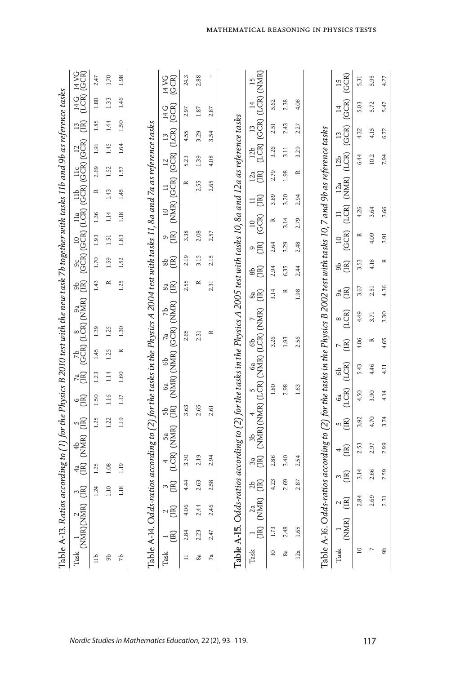|                          |                                                               |                        |                           |                                                         |                |                |                       |                         |           | Table A-13. Ratios according to (1) for the Physics B 2010 test with the new task 7b together with tasks 11b and 9b as reference tasks                   |                                                     |             |                                                 |                      |                                                                                                                    |                          |                          |                                                                                            |                         |                          |
|--------------------------|---------------------------------------------------------------|------------------------|---------------------------|---------------------------------------------------------|----------------|----------------|-----------------------|-------------------------|-----------|----------------------------------------------------------------------------------------------------------------------------------------------------------|-----------------------------------------------------|-------------|-------------------------------------------------|----------------------|--------------------------------------------------------------------------------------------------------------------|--------------------------|--------------------------|--------------------------------------------------------------------------------------------|-------------------------|--------------------------|
| $\rm{Task}$              | $\begin{array}{c} 1 \\ \text{(NMR)} \text{(NMR)} \end{array}$ |                        | $\sum_{i=1}^{n}$          | $\begin{pmatrix} 4a & 4b \\ (IR) & (NMR) \end{pmatrix}$ |                | ng<br>E        | $\circ \widetilde{E}$ | $\overline{AB}$         |           | $\begin{array}{c} 7b \\ (GCR) \ (LCR) \ (NMR) \end{array}$                                                                                               | සි<br>සි                                            |             |                                                 |                      | $^{9c}_{[GCR)}$ $^{10}_{[LCR)}$ $^{11a}_{[LCR)}$ $^{11b}_{[LCR)}$ $^{11c}_{[LCR)}$ $^{12}_{[LCR)}$ $^{12}_{[LCR)}$ |                          |                          | ng                                                                                         | 14G 14VG<br>(LCR) (GCR) |                          |
| $\exists$                |                                                               |                        | 1.24                      | 1.25                                                    |                | 1.25           | 1.50                  | 1.23                    | 1.45      | 1.39                                                                                                                                                     | 1.43                                                | 1.70        | 1.93                                            | 1.36                 | $\approx$                                                                                                          | 2.69                     | 1.91                     | 1.85                                                                                       | 1.80                    | 2.47                     |
| 9p                       |                                                               |                        | 1.10                      | 1.08                                                    |                | 1.22           | 1.16                  | 1.14                    | 1.25      | 1.25                                                                                                                                                     | $\approx$                                           | 1.59        | 1.51                                            | 1.14                 | 1.43                                                                                                               | 1.52                     | 1.45                     | 1.44                                                                                       | 1.33                    | 1.70                     |
| 7Ъ                       |                                                               |                        | 1.18                      | 1.19                                                    |                | 1.19           | 1.17                  | 1.60                    | $\simeq$  | 1.30                                                                                                                                                     | 1.25                                                | 1.52        | 1.83                                            | 1.18                 | 1.45                                                                                                               | 1.57                     | 1.64                     | 1.50                                                                                       | 1.46                    | 1.98                     |
|                          |                                                               |                        |                           |                                                         |                |                |                       |                         |           |                                                                                                                                                          |                                                     |             |                                                 |                      |                                                                                                                    |                          |                          |                                                                                            |                         |                          |
|                          |                                                               |                        |                           |                                                         |                |                |                       |                         |           | Table A-14. Odds-ratios according to (2) for the tasks in the Physics A 2004 test with tasks 11, 8a and 7a as reference tasks                            |                                                     |             |                                                 |                      |                                                                                                                    |                          |                          |                                                                                            |                         |                          |
| Task                     | $-\widetilde{\Xi}$                                            | $\frac{2}{\sqrt{2}}$   | $\overline{\overline{B}}$ | $\begin{array}{cc} 4 & 5a \\ (LCR) & (NMR) \end{array}$ |                | .<br>සි පි     |                       |                         |           | $\begin{array}{cc} 6a & 6b & 7a & 7b \\ \textrm{(NMR)}\;(\textrm{NMR}) & (\textrm{GCR})\;(\textrm{NMR}) \end{array}$                                     | $\overset{\circ}{\mathbf{a}}\widetilde{\mathbf{E}}$ | $B \n\cong$ | $\circ \widetilde{\Xi}$                         |                      | $\begin{array}{cc} 10 & 11 & 12 & 13 \\ (NMR) & (GCR) & (GCR) & (LCR) \end{array}$                                 |                          |                          | (GCR)<br>14 G                                                                              | 14 VG<br>(GCR)          |                          |
| $\equiv$                 | 2.84                                                          | 4.06                   | 4.44                      | 3.30                                                    |                | 3.63           |                       |                         | 2.65      |                                                                                                                                                          | 2.55                                                | 2.19        | 3.38                                            |                      | $\approx$                                                                                                          | 5.23                     | 4.55                     | 2.97                                                                                       |                         | 24.3                     |
| 8a                       | 2.23                                                          | 2.44                   | 2.63                      | 2.19                                                    |                | 2.65           |                       |                         | 2.31      |                                                                                                                                                          | $\approx$                                           | 3.15        | 2.08                                            |                      | 2.55                                                                                                               | 1.39                     | 3.29                     | 1.87                                                                                       |                         | 2.88                     |
| Гa                       | 2.47                                                          | 2.46                   | 2.58                      | 2.94                                                    |                | 2.61           |                       |                         |           | $\simeq$                                                                                                                                                 | 2.31                                                | 2.15        | 2.57                                            |                      | 2.65                                                                                                               | 4.08                     | 3.54                     | 2.87                                                                                       |                         |                          |
|                          |                                                               |                        |                           |                                                         |                |                |                       |                         |           |                                                                                                                                                          |                                                     |             |                                                 |                      |                                                                                                                    |                          |                          |                                                                                            |                         |                          |
|                          |                                                               |                        |                           |                                                         |                |                |                       |                         |           | Table A-I5. Odds-ratios according to (2) for the tasks in the Physics A 2005 test with tasks 10, 8a and 12a as reference tasks                           |                                                     |             |                                                 |                      |                                                                                                                    |                          |                          |                                                                                            |                         |                          |
| Task                     | $-\widehat{\Xi}$                                              | $\frac{2a}{NMR}$       | AB                        |                                                         |                |                |                       |                         |           | $\begin{array}{llllll} 3a & 3b & 4 \\ \text{(IR)} & (\text{NMR}) & (\text{LCR}) & (\text{NMR}) & (\text{LCR}) & (\text{NMR}) & (\text{NMR}) \end{array}$ | &g                                                  | ඝලි<br>ස    | $\circ \widetilde{E}$                           | (GCR)<br>$\supseteq$ | $=$ $\widetilde{E}$                                                                                                | $\mathbb{R}^a$           | $\frac{12}{20}$          | $\begin{array}{cc} 13 & 14 & 15 \\ \text{(GCR)} & \text{(LCR)} & \text{(NMR)} \end{array}$ |                         |                          |
| $\overline{\phantom{0}}$ | 1.73                                                          |                        | 4.23                      | 2.86                                                    |                |                | 1.80                  |                         | 3.26      |                                                                                                                                                          | 3.14                                                | 2.94        | 2.64                                            | $\simeq$             | 3.89                                                                                                               | 2.79                     | 3.26                     | 2.51                                                                                       | 5.62                    |                          |
| 8a                       | 2.48                                                          |                        | 2.69                      | 3.40                                                    |                |                | 2.98                  |                         | 1.93      |                                                                                                                                                          | $\approx$                                           | 6.35        | 3.29                                            | 3.14                 | 3.20                                                                                                               | 1.98                     | $\overline{3}$ .         | 2.43                                                                                       | 2.38                    |                          |
| 12a                      | 1.65                                                          |                        | 2.87                      | 2.54                                                    |                |                | 1.63                  |                         | 2.56      |                                                                                                                                                          | 1.98                                                | 2.44        | 2.48                                            | 2.79                 | 2.94                                                                                                               | $\approx$                | 3.29                     | 2.27                                                                                       | 4.06                    |                          |
|                          |                                                               |                        |                           |                                                         |                |                |                       |                         |           | Table A-16. Odds-ratios according to (2) for the tasks in the Physics B 2002 test with tasks 10,7 and 9b as reference tasks                              |                                                     |             |                                                 |                      |                                                                                                                    |                          |                          |                                                                                            |                         |                          |
|                          |                                                               |                        |                           |                                                         |                |                |                       |                         |           |                                                                                                                                                          |                                                     |             |                                                 |                      |                                                                                                                    |                          |                          |                                                                                            |                         |                          |
| Task                     | (NMR)                                                         | $\sim \widetilde{\Xi}$ | $\overline{AB}$           |                                                         | $E_{\text{H}}$ | $\overline{B}$ | (LCR)<br>6a           | (LCR)<br>6 <sub>b</sub> | E         | (LCR)                                                                                                                                                    | ஃ<br>පි                                             | ඝළි         | $\begin{array}{c} 10 \\ \text{GCR} \end{array}$ |                      | $\begin{array}{cc}\n 11 & 12a \\  (LCR) & (NMR)\n \end{array}$                                                     | (LCR)<br>12 <sub>b</sub> | (GCR)<br>$\overline{13}$ | (GCR)<br>$\overline{4}$                                                                    |                         | (GCR)<br>$\overline{15}$ |
| $\overline{a}$           |                                                               | 2.84                   | 3.14                      |                                                         | 2.53           | 3.92           | 4.50                  | 5.43                    | 4.06      | 4.49                                                                                                                                                     | 3.67                                                | 3.53        | $\approx$                                       | 4.26                 |                                                                                                                    | 6.44                     | 4.32                     | 5.03                                                                                       |                         | 5.31                     |
| r,                       |                                                               | 2.69                   | 2.66                      |                                                         | 2.97           | 4.70           | 3.90                  | 4.46                    | $\approx$ | 3.71                                                                                                                                                     | 2.51                                                | 4.18        | 4.09                                            | 3.64                 |                                                                                                                    | 10.2                     | 4.15                     | 5.72                                                                                       |                         | 5.95                     |
| கி                       |                                                               | 2.31                   | 2.59                      |                                                         | 2.99           | 3.74           | 4.14                  | 4.11                    | 4.65      | 3.30                                                                                                                                                     | 4.36                                                | $\approx$   | 3.91                                            | 3.66                 |                                                                                                                    | 7.94                     | 6.72                     | 5.47                                                                                       |                         | 4.27                     |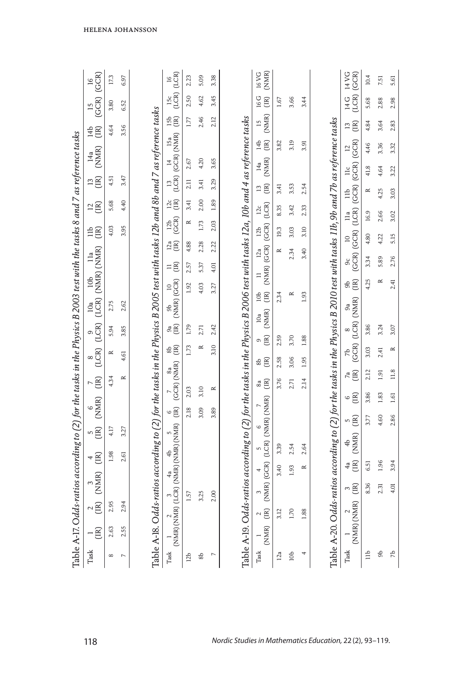| $\overline{16}$                                                                                              | 17.3         | 6.97      |                                                                                                                                  | $\overline{16}$                                                                                                        | (LCR)       | 2.23            | 5.09              | 3.38           |                                                                                                                  | (NMR)<br><b>16 VG</b>                                                                                                           |           |                 |           |                                                                                                                                | (GCR)<br>14 VG                                   | 10.4      | 7.51             |  |
|--------------------------------------------------------------------------------------------------------------|--------------|-----------|----------------------------------------------------------------------------------------------------------------------------------|------------------------------------------------------------------------------------------------------------------------|-------------|-----------------|-------------------|----------------|------------------------------------------------------------------------------------------------------------------|---------------------------------------------------------------------------------------------------------------------------------|-----------|-----------------|-----------|--------------------------------------------------------------------------------------------------------------------------------|--------------------------------------------------|-----------|------------------|--|
| (GCR) (GCR)                                                                                                  | 3.80         | 6.52      |                                                                                                                                  | 15c                                                                                                                    | (LCR)       | 2.50            | 4.62              | 3.45           |                                                                                                                  | 16 G<br>(IR)                                                                                                                    | 1.67      | 3.66            | 3.44      |                                                                                                                                | (LCR)<br>14 G                                    | 5.68      | 2.88             |  |
| (B)                                                                                                          | 4.64         | 3.56      |                                                                                                                                  | <b>B</b> e                                                                                                             |             | 1.77            | 2.46              | 2.12           |                                                                                                                  | (NMR)<br>$\overline{15}$                                                                                                        |           |                 |           |                                                                                                                                | (IR)<br>$\overline{13}$                          | 4.84      | 3.64             |  |
|                                                                                                              |              |           |                                                                                                                                  | $13$ $14$ $15a$<br>(LCR) (GCR) (NMR)                                                                                   |             |                 |                   |                |                                                                                                                  | $\begin{bmatrix} \mathbb{R} \end{bmatrix}$<br>14 <sub>b</sub>                                                                   | 3.82      | 3.19            | 3.91      |                                                                                                                                | $\overline{a}$                                   | 4.46      | 3.36             |  |
|                                                                                                              |              |           |                                                                                                                                  |                                                                                                                        |             | 2.67            | 4.20              | 3.65           |                                                                                                                  | (NMR)<br>14a                                                                                                                    |           |                 |           |                                                                                                                                | 11c                                              | 41.8      | 4.64             |  |
|                                                                                                              | 4.51         | 3.47      |                                                                                                                                  |                                                                                                                        |             | 2.11            | 3.41              | 3.29           |                                                                                                                  | $\begin{bmatrix} \begin{matrix} 1 \end{matrix} \\ \begin{matrix} 2 \end{matrix} \end{bmatrix} \end{bmatrix}$<br>$\overline{13}$ | 3.41      | 3.53            | 2.54      |                                                                                                                                | 11 <sub>b</sub>                                  | $\approx$ | 4.25             |  |
| $\stackrel{2}{\approx}$                                                                                      | 5.68         | 4.40      |                                                                                                                                  | $\frac{12}{10}$                                                                                                        |             | 3.41            | 2.00              | 1.89           |                                                                                                                  | 12c                                                                                                                             | 8.35      | 3.42            | 2.33      |                                                                                                                                | (GCR) (GCR) (LCR) (GCR) (GCR) (GCR)<br>11a       | 16.9      | 2.66             |  |
| $\stackrel{\triangle}{\equiv} \stackrel{\cong}{\equiv}$                                                      | 4.03         | 3.95      |                                                                                                                                  | $\frac{12b}{\text{GCR}}$                                                                                               |             | $\approx$       | 1.73              | 2.03           |                                                                                                                  | 12 <sub>b</sub>                                                                                                                 | 19.3      | 3.03            | 3.10      |                                                                                                                                | $\supseteq$                                      | 4.80      | 4.22             |  |
|                                                                                                              |              |           |                                                                                                                                  | $\overset{12a}{\text{}}$                                                                                               |             | 4.88            | 2.28              | 2.22           |                                                                                                                  | 12a                                                                                                                             | $\approx$ | 2.34            | 3.40      |                                                                                                                                | 9c                                               | 3.34      | 5.89             |  |
| $\prod a$                                                                                                    |              |           |                                                                                                                                  | $\equiv \Xi$                                                                                                           |             | 2.57            | 5.37              | 4.01           | ds-ratios according to (2) for the tasks in the Physics B 2006 test with tasks 12a, 10b and 4 as reference tasks | (IR) (NMR) (GCR) (GCR) (LCR)<br>$\equiv$                                                                                        |           |                 |           |                                                                                                                                | සි<br>පි                                         | 4.25      | $\approx$        |  |
| $\begin{array}{cccc} 7 & 8 & 9 & 10a & 10b & 11a \\ (IR) & (LCR) & (LCR) & (LCR) & (NM) & (NMR) \end{array}$ | 2.75         | 2.62      |                                                                                                                                  | $\overline{a}$                                                                                                         | (NMR) (GCR) | 1.92            | 4.03              | 3.27           |                                                                                                                  | 10 <sub>b</sub>                                                                                                                 | 2.34      | $\approx$       | 1.93      |                                                                                                                                |                                                  |           |                  |  |
|                                                                                                              |              |           |                                                                                                                                  | 9p<br>ஃ<br>පි                                                                                                          |             | 1.79            |                   | 2.42           |                                                                                                                  | (NMR)<br>10a                                                                                                                    |           |                 |           |                                                                                                                                |                                                  | 3.86      | 3.24             |  |
|                                                                                                              | 5.94         | 3.85      |                                                                                                                                  | ⊕<br>⊕                                                                                                                 |             | 1.73            | 2.71<br>$\approx$ | 3.10           |                                                                                                                  | $\begin{bmatrix} \begin{bmatrix} 1 \end{bmatrix} \end{bmatrix}$<br>Ó                                                            | 2.59      | 3.70            | 1.88      |                                                                                                                                |                                                  |           |                  |  |
|                                                                                                              | $\simeq$     | 4.61      |                                                                                                                                  |                                                                                                                        |             |                 |                   |                |                                                                                                                  | $\begin{array}{c} \begin{array}{c} \begin{array}{c} \end{array}\\ \begin{array}{c} \end{array} \end{array} \end{array}$<br>8b   | 2.58      | 3.06            | 1.95      |                                                                                                                                |                                                  | 3.03      | 2.41             |  |
|                                                                                                              | 4.34         | $\approx$ |                                                                                                                                  | $\begin{array}{cc} 7 & 8a \\ \text{(GCR)} \; \text{(NMR)} \end{array}$                                                 |             | 2.03            | 3.10              | $\approx$      |                                                                                                                  | $\begin{bmatrix} \mathbb{R} \end{bmatrix}$<br>8a                                                                                | 3.76      | 2.71            | 2.14      |                                                                                                                                | $7a$<br>(IR)                                     | 2.12      | 1.91             |  |
| $\begin{array}{c} 6 \\ \text{(NMR)} \end{array}$                                                             |              |           |                                                                                                                                  | $\circ \widetilde{E}$                                                                                                  |             | 2.18            | 3.09              | 3.89           |                                                                                                                  | (NMR) (GCR) (LCR) (NMR) (NMR)                                                                                                   |           |                 |           |                                                                                                                                | $\circ \Xi$                                      | 3.86      | 1.83             |  |
| ng<br>C                                                                                                      | 4.17         | 3.27      |                                                                                                                                  |                                                                                                                        |             |                 |                   |                |                                                                                                                  | 6                                                                                                                               |           |                 |           |                                                                                                                                | n g                                              | 3.77      | 4.60             |  |
| $\begin{pmatrix} 4 \\ -1 \end{pmatrix}$                                                                      | 1.98         | 2.61      |                                                                                                                                  |                                                                                                                        |             |                 |                   |                |                                                                                                                  |                                                                                                                                 | 3.39      | 2.54            | 2.64      |                                                                                                                                | (NMR)<br>4b                                      |           |                  |  |
|                                                                                                              |              |           |                                                                                                                                  |                                                                                                                        |             |                 |                   |                |                                                                                                                  |                                                                                                                                 | 3.40      | 1.93            | $\approx$ |                                                                                                                                | 4<br>B                                           | 6.51      | 1.96             |  |
| $\begin{array}{c}\n 2 \\  (IN) \\  (NMR)\n \end{array}$                                                      |              |           |                                                                                                                                  |                                                                                                                        |             | 1.57            | 3.25              | 2.00           |                                                                                                                  |                                                                                                                                 |           |                 |           |                                                                                                                                | $\begin{array}{c} \n\text{(IR)}\\ \n\end{array}$ | 8.36      | 2.31             |  |
|                                                                                                              | 2.95         | 94        |                                                                                                                                  |                                                                                                                        |             |                 |                   |                |                                                                                                                  | Ë<br>$\sim$                                                                                                                     | 3.12      | 1.70            | 1.88      |                                                                                                                                | (NMR) (NMR)                                      |           |                  |  |
| Ã                                                                                                            | 2.63         | 2.55      | Table A-18. Odds-ratios according to (2) for the tasks in the Physics B 2005 test with tasks 12b and 8b and 7 as reference tasks | $\begin{array}{cc} 1 & 2 & 3 \\ \text{(NMR)} & \text{(LCR)} & \text{(NMR)} \text{(NMR)} & \text{(NMR)} \\ \end{array}$ |             |                 |                   |                | Table A-19. Od                                                                                                   | (NMR)                                                                                                                           |           |                 |           | Table A-20. Odds-ratios according to (2) for the tasks in the Physics B 2010 test with tasks 11b, 9b and 7b as reference tasks |                                                  |           |                  |  |
| Task                                                                                                         | ${}^{\circ}$ |           |                                                                                                                                  | $\rm{Task}$                                                                                                            |             | 12 <sub>b</sub> | $\rm ^{8b}$       | $\overline{ }$ |                                                                                                                  | $\rm{Task}$                                                                                                                     | 12a       | 10 <sub>b</sub> |           |                                                                                                                                | Task                                             | $\exists$ | $\mathfrak{g}_0$ |  |